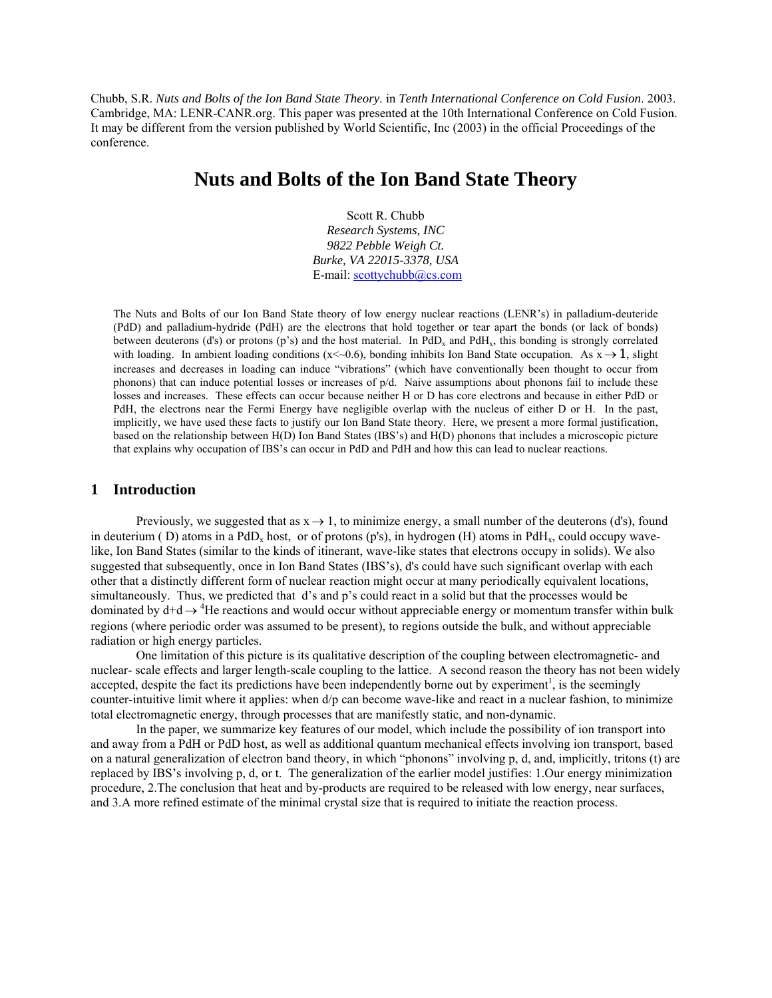Chubb, S.R. *Nuts and Bolts of the Ion Band State Theory*. in *Tenth International Conference on Cold Fusion*. 2003. Cambridge, MA: LENR-CANR.org. This paper was presented at the 10th International Conference on Cold Fusion. It may be different from the version published by World Scientific, Inc (2003) in the official Proceedings of the conference.

## **Nuts and Bolts of the Ion Band State Theory**

Scott R. Chubb *Research Systems, INC 9822 Pebble Weigh Ct. Burke, VA 22015-3378, USA*  E-mail: [scottychubb@cs.com](mailto:scottychubb@cs.com)

The Nuts and Bolts of our Ion Band State theory of low energy nuclear reactions (LENR's) in palladium-deuteride (PdD) and palladium-hydride (PdH) are the electrons that hold together or tear apart the bonds (or lack of bonds) between deuterons (d's) or protons (p's) and the host material. In PdD<sub>x</sub> and PdH<sub>x</sub>, this bonding is strongly correlated with loading. In ambient loading conditions (x < - 0.6), bonding inhibits Ion Band State occupation. As  $x \rightarrow 1$ , slight increases and decreases in loading can induce "vibrations" (which have conventionally been thought to occur from phonons) that can induce potential losses or increases of p/d. Naive assumptions about phonons fail to include these losses and increases. These effects can occur because neither H or D has core electrons and because in either PdD or PdH, the electrons near the Fermi Energy have negligible overlap with the nucleus of either D or H. In the past, implicitly, we have used these facts to justify our Ion Band State theory. Here, we present a more formal justification, based on the relationship between H(D) Ion Band States (IBS's) and H(D) phonons that includes a microscopic picture that explains why occupation of IBS's can occur in PdD and PdH and how this can lead to nuclear reactions.

#### **1 Introduction**

Previously, we suggested that as  $x \rightarrow 1$ , to minimize energy, a small number of the deuterons (d's), found in deuterium (D) atoms in a PdD<sub>x</sub> host, or of protons (p's), in hydrogen (H) atoms in PdH<sub>x</sub>, could occupy wavelike, Ion Band States (similar to the kinds of itinerant, wave-like states that electrons occupy in solids). We also suggested that subsequently, once in Ion Band States (IBS's), d's could have such significant overlap with each other that a distinctly different form of nuclear reaction might occur at many periodically equivalent locations, simultaneously. Thus, we predicted that d's and p's could react in a solid but that the processes would be dominated by  $d+d \rightarrow 4$ He reactions and would occur without appreciable energy or momentum transfer within bulk regions (where periodic order was assumed to be present), to regions outside the bulk, and without appreciable radiation or high energy particles.

One limitation of this picture is its qualitative description of the coupling between electromagnetic- and nuclear- scale effects and larger length-scale coupling to the lattice. A second reason the theory has not been widely accepted, despite the fact its predictions have been independently borne out by experiment<sup>1</sup>, is the seemingly counter-intuitive limit where it applies: when d/p can become wave-like and react in a nuclear fashion, to minimize total electromagnetic energy, through processes that are manifestly static, and non-dynamic.

In the paper, we summarize key features of our model, which include the possibility of ion transport into and away from a PdH or PdD host, as well as additional quantum mechanical effects involving ion transport, based on a natural generalization of electron band theory, in which "phonons" involving p, d, and, implicitly, tritons (t) are replaced by IBS's involving p, d, or t. The generalization of the earlier model justifies: 1. Our energy minimization procedure, 2.The conclusion that heat and by-products are required to be released with low energy, near surfaces, and 3.A more refined estimate of the minimal crystal size that is required to initiate the reaction process.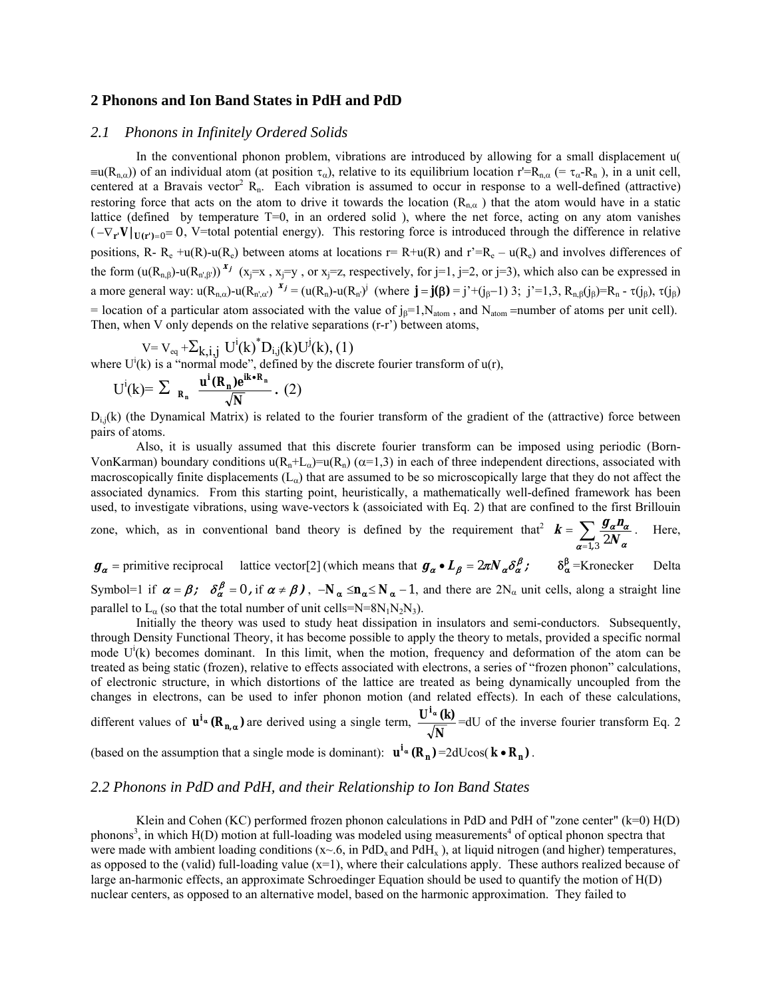#### **2 Phonons and Ion Band States in PdH and PdD**

#### *2.1 Phonons in Infinitely Ordered Solids*

In the conventional phonon problem, vibrations are introduced by allowing for a small displacement u(  $\equiv$ u(R<sub>n,α</sub>)) of an individual atom (at position  $\tau_{\alpha}$ ), relative to its equilibrium location r'=R<sub>n,α</sub> (=  $\tau_{\alpha}$ -R<sub>n</sub>), in a unit cell, centered at a Bravais vector<sup>2</sup> R<sub>n</sub>. Each vibration is assumed to occur in response to a well-defined (attractive) restoring force that acts on the atom to drive it towards the location ( $R_{n\alpha}$ ) that the atom would have in a static lattice (defined by temperature T=0, in an ordered solid ), where the net force, acting on any atom vanishes  $(-\nabla_{\mathbf{r}} \mathbf{V} |_{\mathbf{U}(\mathbf{r}')=0} = 0$ , V=total potential energy). This restoring force is introduced through the difference in relative positions, R-  $R_e + u(R) - u(R_e)$  between atoms at locations  $r = R + u(R)$  and  $r^2 = R_e - u(R_e)$  and involves differences of the form  $(u(R_{n,\beta})-u(R_{n',\beta'})^{*}$  (x<sub>j</sub>=x, x<sub>j</sub>=y, or x<sub>j</sub>=z, respectively, for j=1, j=2, or j=3), which also can be expressed in a more general way:  $u(R_{n,\alpha})$ -u $(R_{n',\alpha})$ <sup>x</sup> $j = (u(R_n)$ -u $(R_{n'})^j$  (where  $\mathbf{j} = \mathbf{j}(\beta) = j^*+(j_{\beta}-1)$  3;  $j^* = 1,3$ ,  $R_{n,\beta}(j_{\beta}) = R_n - \tau(j_{\beta})$ ,  $\tau(j_{\beta})$ = location of a particular atom associated with the value of  $j_\beta=1$ ,  $N_{atom}$ , and  $N_{atom}$  =number of atoms per unit cell). Then, when V only depends on the relative separations  $(r-r')$  between atoms,

$$
V = V_{eq} + \sum_{k,i,j} U^{i}(k)^{*}D_{i,j}(k)U^{j}(k), (1)
$$

where  $U^{i}(k)$  is a "normal mode", defined by the discrete fourier transform of  $u(r)$ ,

$$
U^{i}(k) = \sum_{\mathbf{R}_{n}} \frac{\mathbf{u}^{i}(\mathbf{R}_{n})e^{i\mathbf{k} \cdot \mathbf{R}_{n}}}{\sqrt{N}}. (2)
$$

 $D_{i,j}(k)$  (the Dynamical Matrix) is related to the fourier transform of the gradient of the (attractive) force between pairs of atoms.

Also, it is usually assumed that this discrete fourier transform can be imposed using periodic (Born-VonKarman) boundary conditions  $u(R_n+L_\alpha) = u(R_n)$  ( $\alpha=1,3$ ) in each of three independent directions, associated with macroscopically finite displacements  $(L_{\alpha})$  that are assumed to be so microscopically large that they do not affect the associated dynamics. From this starting point, heuristically, a mathematically well-defined framework has been used, to investigate vibrations, using wave-vectors k (assoiciated with Eq. 2) that are confined to the first Brillouin

zone, which, as in conventional band theory is defined by the requirement that  $\mathbf{k} = \sum_{\alpha=1,2}$  $\frac{1}{1,3}$  2N  $\mathbf{k} = \sum \frac{\mathbf{g}_a \mathbf{n}_b}{\sum \mathbf{g}_a \mathbf{n}_b}$  $\alpha$ =1.3  $\sim \alpha$ α α . Here,

 $g_{\alpha} =$  primitive reciprocal lattice vector<sup>[2]</sup> (which means that  $g_{\alpha} \cdot L_{\beta} = 2\pi N_{\alpha} \delta_{\alpha}^{\beta}$ ;  $\delta_{\alpha}^{\beta} =$ Kronecker Delta Symbol=1 if  $\alpha = \beta$ ;  $\delta_{\alpha}^{\beta} = 0$ , if  $\alpha \neq \beta$ ),  $-N_{\alpha} \leq n_{\alpha} \leq N_{\alpha} - 1$ , and there are  $2N_{\alpha}$  unit cells, along a straight line parallel to  $L_{\alpha}$  (so that the total number of unit cells=N=8N<sub>1</sub>N<sub>2</sub>N<sub>3</sub>).

Initially the theory was used to study heat dissipation in insulators and semi-conductors. Subsequently, through Density Functional Theory, it has become possible to apply the theory to metals, provided a specific normal mode  $U^i(k)$  becomes dominant. In this limit, when the motion, frequency and deformation of the atom can be treated as being static (frozen), relative to effects associated with electrons, a series of "frozen phonon" calculations, of electronic structure, in which distortions of the lattice are treated as being dynamically uncoupled from the changes in electrons, can be used to infer phonon motion (and related effects). In each of these calculations, different values of  $\mathbf{u}^{i_{\alpha}}(\mathbf{R}_{n,\alpha})$  are derived using a single term,  $\frac{\mathbf{0}^{i_{\alpha}}(i_{\alpha})}{\sqrt{N}}$  $\frac{\mathbf{U}^{\mathbf{i}} \cdot \mathbf{K}}{\sqrt{2\pi}}$  =dU of the inverse fourier transform Eq. 2

# (based on the assumption that a single mode is dominant):  $\mathbf{u}^{\mathbf{i}_{\alpha}}(\mathbf{R}_{\mathbf{n}}) = 2dU\cos(\mathbf{k} \cdot \mathbf{R}_{\mathbf{n}})$ .

## *2.2 Phonons in PdD and PdH, and their Relationship to Ion Band States*

Klein and Cohen (KC) performed frozen phonon calculations in PdD and PdH of "zone center"  $(k=0)$  H(D) phonons<sup>3</sup>, in which  $H(D)$  motion at full-loading was modeled using measurements<sup>4</sup> of optical phonon spectra that were made with ambient loading conditions ( $x \sim 6$ , in PdD<sub>x</sub> and PdH<sub>x</sub>), at liquid nitrogen (and higher) temperatures, as opposed to the (valid) full-loading value  $(x=1)$ , where their calculations apply. These authors realized because of large an-harmonic effects, an approximate Schroedinger Equation should be used to quantify the motion of H(D) nuclear centers, as opposed to an alternative model, based on the harmonic approximation. They failed to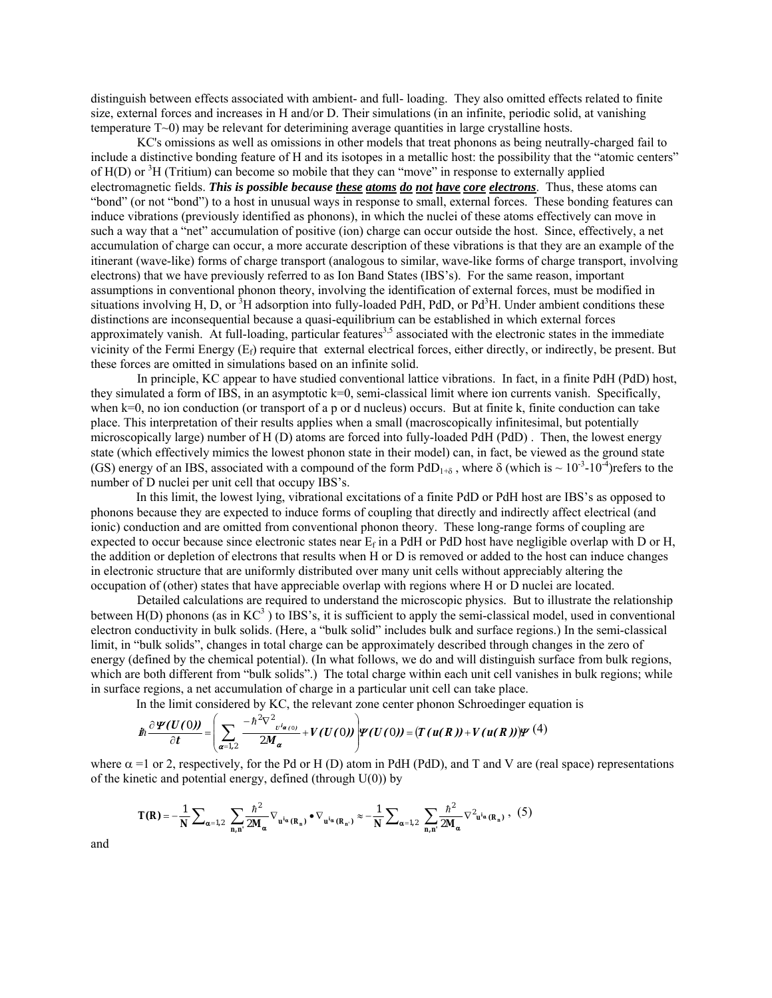distinguish between effects associated with ambient- and full- loading. They also omitted effects related to finite size, external forces and increases in H and/or D. Their simulations (in an infinite, periodic solid, at vanishing temperature T~0) may be relevant for deterimining average quantities in large crystalline hosts.

KC's omissions as well as omissions in other models that treat phonons as being neutrally-charged fail to include a distinctive bonding feature of H and its isotopes in a metallic host: the possibility that the "atomic centers" of  $H(D)$  or  ${}^{3}H$  (Tritium) can become so mobile that they can "move" in response to externally applied electromagnetic fields. *This is possible because these atoms do not have core electrons*. Thus, these atoms can "bond" (or not "bond") to a host in unusual ways in response to small, external forces. These bonding features can induce vibrations (previously identified as phonons), in which the nuclei of these atoms effectively can move in such a way that a "net" accumulation of positive (ion) charge can occur outside the host. Since, effectively, a net accumulation of charge can occur, a more accurate description of these vibrations is that they are an example of the itinerant (wave-like) forms of charge transport (analogous to similar, wave-like forms of charge transport, involving electrons) that we have previously referred to as Ion Band States (IBS's). For the same reason, important assumptions in conventional phonon theory, involving the identification of external forces, must be modified in situations involving H, D, or  $3H$  adsorption into fully-loaded PdH, PdD, or Pd $3H$ . Under ambient conditions these distinctions are inconsequential because a quasi-equilibrium can be established in which external forces approximately vanish. At full-loading, particular features<sup>3,5</sup> associated with the electronic states in the immediate vicinity of the Fermi Energy  $(E_t)$  require that external electrical forces, either directly, or indirectly, be present. But these forces are omitted in simulations based on an infinite solid.

In principle, KC appear to have studied conventional lattice vibrations. In fact, in a finite PdH (PdD) host, they simulated a form of IBS, in an asymptotic k=0, semi-classical limit where ion currents vanish. Specifically, when k=0, no ion conduction (or transport of a p or d nucleus) occurs. But at finite k, finite conduction can take place. This interpretation of their results applies when a small (macroscopically infinitesimal, but potentially microscopically large) number of H (D) atoms are forced into fully-loaded PdH (PdD) . Then, the lowest energy state (which effectively mimics the lowest phonon state in their model) can, in fact, be viewed as the ground state (GS) energy of an IBS, associated with a compound of the form  $PdD_{1+\delta}$ , where  $\delta$  (which is  $\sim 10^{-3}$ -10<sup>-4</sup>) refers to the number of D nuclei per unit cell that occupy IBS's.

In this limit, the lowest lying, vibrational excitations of a finite PdD or PdH host are IBS's as opposed to phonons because they are expected to induce forms of coupling that directly and indirectly affect electrical (and ionic) conduction and are omitted from conventional phonon theory. These long-range forms of coupling are expected to occur because since electronic states near  $E_f$  in a PdH or PdD host have negligible overlap with D or H, the addition or depletion of electrons that results when H or D is removed or added to the host can induce changes in electronic structure that are uniformly distributed over many unit cells without appreciably altering the occupation of (other) states that have appreciable overlap with regions where H or D nuclei are located.

Detailed calculations are required to understand the microscopic physics. But to illustrate the relationship between  $H(D)$  phonons (as in  $KC^3$ ) to IBS's, it is sufficient to apply the semi-classical model, used in conventional electron conductivity in bulk solids. (Here, a "bulk solid" includes bulk and surface regions.) In the semi-classical limit, in "bulk solids", changes in total charge can be approximately described through changes in the zero of energy (defined by the chemical potential). (In what follows, we do and will distinguish surface from bulk regions, which are both different from "bulk solids".) The total charge within each unit cell vanishes in bulk regions; while in surface regions, a net accumulation of charge in a particular unit cell can take place.

In the limit considered by KC, the relevant zone center phonon Schroedinger equation is

$$
\hat{J}\hbar \frac{\partial \boldsymbol{\Psi}(U(0))}{\partial t} = \left(\sum_{\boldsymbol{\alpha}=1,2}\frac{-\hbar^2 \nabla^2 v^i \boldsymbol{\alpha}_{(0)}}{2M_{\boldsymbol{\alpha}}} + V(U(0))\right) \boldsymbol{\Psi}(U(0)) = \left(T(u(\boldsymbol{R})) + V(u(\boldsymbol{R}))\right) \boldsymbol{\Psi}(4)
$$

where  $\alpha$  =1 or 2, respectively, for the Pd or H (D) atom in PdH (PdD), and T and V are (real space) representations of the kinetic and potential energy, defined (through  $U(0)$ ) by

$$
\mathbf{T}(\mathbf{R}) = -\frac{1}{N} \sum_{\alpha=1,2} \sum_{\mathbf{n},\mathbf{n'}} \frac{\hbar^2}{2\mathbf{M}_{\alpha}} \nabla_{\mathbf{u}^{i\alpha}(\mathbf{R}_{\mathbf{n}})} \bullet \nabla_{\mathbf{u}^{i\alpha}(\mathbf{R}_{\mathbf{n}'})} \approx -\frac{1}{N} \sum_{\alpha=1,2} \sum_{\mathbf{n},\mathbf{n'}} \frac{\hbar^2}{2\mathbf{M}_{\alpha}} \nabla^2_{\mathbf{u}^{i\alpha}(\mathbf{R}_{\mathbf{n}})},
$$
 (5)

and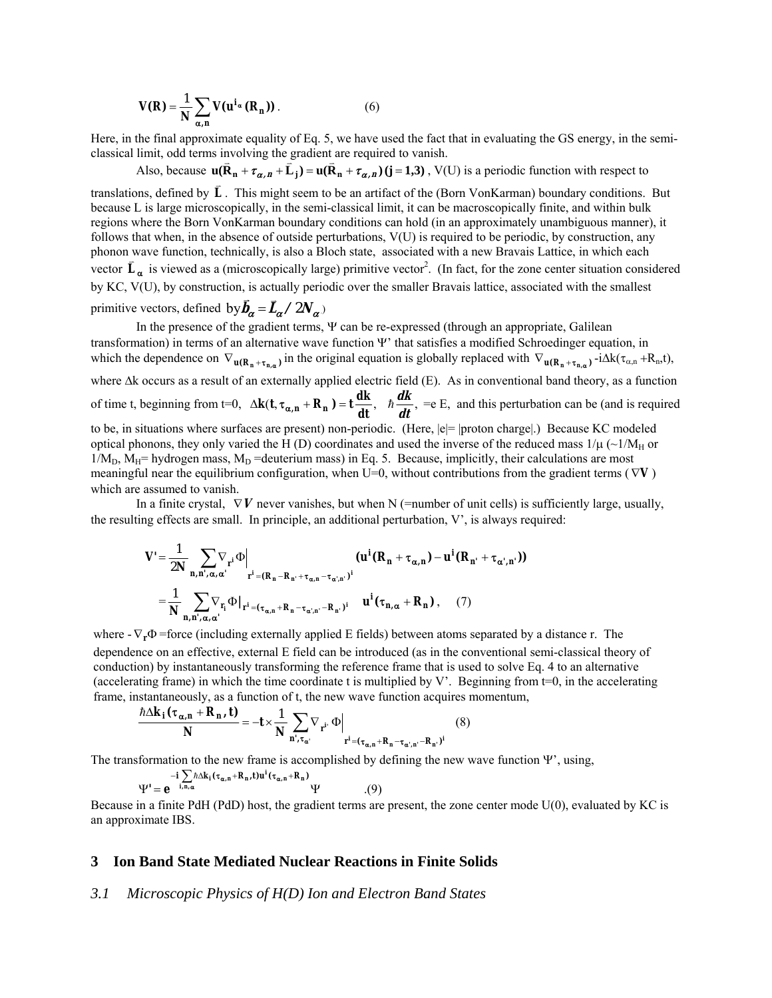$$
V(R) = \frac{1}{N} \sum_{\alpha, n} V(u^{i_{\alpha}}(R_n))
$$
 (6)

Here, in the final approximate equality of Eq. 5, we have used the fact that in evaluating the GS energy, in the semiclassical limit, odd terms involving the gradient are required to vanish.<br>Also, because  $\mathbf{u}(\mathbf{\bar{R}}_n + \tau_{\alpha,n} + \mathbf{\bar{L}}_i) = \mathbf{u}(\mathbf{\bar{R}}_n + \tau_{\alpha,n}) (\mathbf{j} = 1,3)$ , V(U) is a periodic function with respect to

translations, defined by  $\vec{L}$ . This might seem to be an artifact of the (Born VonKarman) boundary conditions. But because L is large microscopically, in the semi-classical limit, it can be macroscopically finite, and within bulk regions where the Born VonKarman boundary conditions can hold (in an approximately unambiguous manner), it follows that when, in the absence of outside perturbations, V(U) is required to be periodic, by construction, any phonon wave function, technically, is also a Bloch state, associated with a new Bravais Lattice, in which each *vector*  $\mathbf{L}_{\alpha}$  is viewed as a (microscopically large) primitive vector<sup>2</sup>. (In fact, for the zone center situation considered by KC, V(U), by construction, is actually periodic over the smaller Bravais lattice, associated with the smallest primitive vectors, defined  $b_y \vec{b}_\alpha = \vec{L}_\alpha / 2N_\alpha$ 

In the presence of the gradient terms, Ψ can be re-expressed (through an appropriate, Galilean transformation) in terms of an alternative wave function Ψ' that satisfies a modified Schroedinger equation, in which the dependence on  $\nabla_{\mathbf{u}(\mathbf{R}_n + \tau_{n,\alpha})}$  in the original equation is globally replaced with  $\nabla_{\mathbf{u}(\mathbf{R}_n + \tau_{n,\alpha})} -i\Delta k(\tau_{\alpha,n} + \mathbf{R}_n, t)$ , where ∆k occurs as a result of an externally applied electric field (E). As in conventional band theory, as a function of time t, beginning from t=0,  $\Delta k(t, \tau_{\alpha, n} + R_n) = t \frac{dk}{dt}$ ,  $\hbar \frac{dk}{dt}$ , =e E, and this perturbation can be (and is required to be, in situations where surfaces are present) non-periodic. (Here, |e|= |proton charge|.) Because KC modeled optical phonons, they only varied the H (D) coordinates and used the inverse of the reduced mass  $1/\mu$  (~1/M<sub>H</sub> or  $1/M_D$ ,  $M_H$ = hydrogen mass,  $M_D$  =deuterium mass) in Eq. 5. Because, implicitly, their calculations are most meaningful near the equilibrium configuration, when U=0, without contributions from the gradient terms ( ∇**V** ) which are assumed to vanish.

In a finite crystal,  $\nabla V$  never vanishes, but when N (=number of unit cells) is sufficiently large, usually, the resulting effects are small. In principle, an additional perturbation,  $V'$ , is always required:

$$
V' = \frac{1}{2N} \sum_{n,n',\alpha,\alpha'} \nabla_{r^{i}} \Phi \Big|_{r^{i} = (R_{n} - R_{n'} + \tau_{\alpha,n} - \tau_{\alpha',n'})^{i}} (u^{i} (R_{n} + \tau_{\alpha,n}) - u^{i} (R_{n'} + \tau_{\alpha',n'}))
$$
  

$$
= \frac{1}{N} \sum_{n,n',\alpha,\alpha'} \nabla_{r_{i}} \Phi \Big|_{r^{i} = (\tau_{\alpha,n} + R_{n} - \tau_{\alpha',n'} - R_{n'})^{i}} (u^{i} (\tau_{n,\alpha} + R_{n}), (7)
$$

where  $-\nabla_{\bf r}\Phi$  =force (including externally applied E fields) between atoms separated by a distance r. The dependence on an effective, external E field can be introduced (as in the conventional semi-classical theory of conduction) by instantaneously transforming the reference frame that is used to solve Eq. 4 to an alternative (accelerating frame) in which the time coordinate t is multiplied by V'. Beginning from  $t=0$ , in the accelerating frame, instantaneously, as a function of t, the new wave function acquires momentum,

$$
\frac{\hbar\Delta k_{i}(\tau_{\alpha,n} + R_{n}, t)}{N} = -t \times \frac{1}{N} \sum_{n', \tau_{\alpha'}} \nabla_{r^{i}} \Phi \Big|_{r^{i} = (\tau_{\alpha,n} + R_{n} - \tau_{\alpha',n'} - R_{n'})^{i}} \quad (8)
$$

The transformation to the new frame is accomplished by defining the new wave function  $\Psi'$ , using,

$$
\Psi' = e^{-i \sum_{i,n,\alpha} \hbar \Delta k_i (\tau_{\alpha,n} + R_n, t) u^i (\tau_{\alpha,n} + R_n)} \Psi
$$
 (9)

Because in a finite PdH (PdD) host, the gradient terms are present, the zone center mode U(0), evaluated by KC is an approximate IBS.

#### **3 Ion Band State Mediated Nuclear Reactions in Finite Solids**

### *3.1 Microscopic Physics of H(D) Ion and Electron Band States*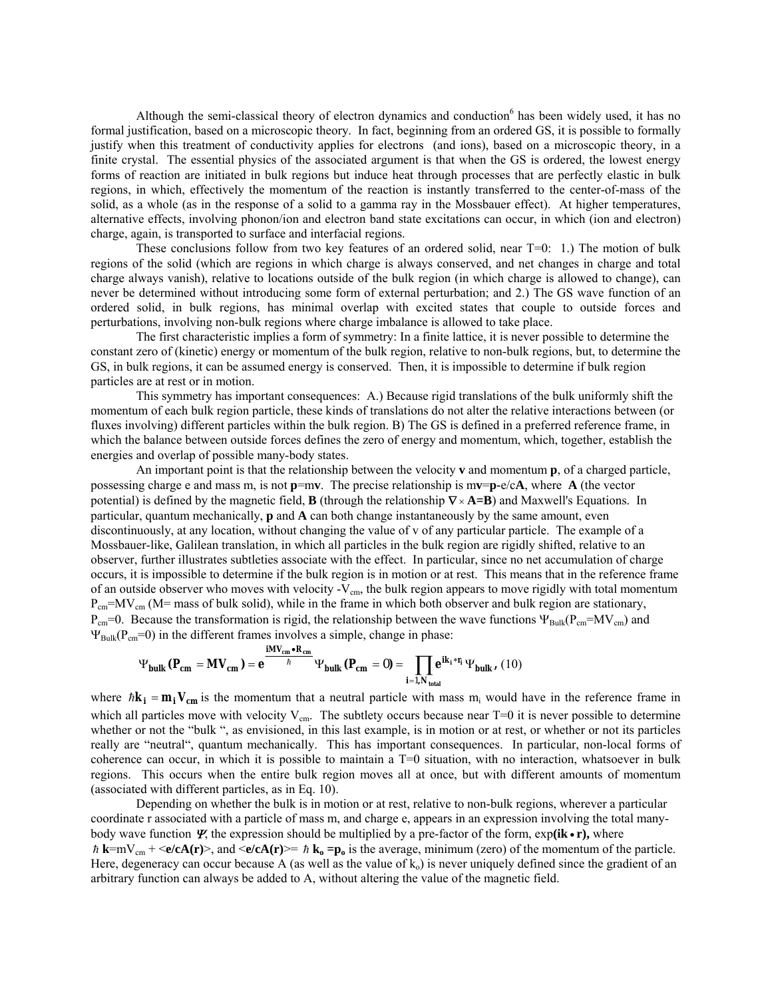Although the semi-classical theory of electron dynamics and conduction<sup>6</sup> has been widely used, it has no formal justification, based on a microscopic theory. In fact, beginning from an ordered GS, it is possible to formally justify when this treatment of conductivity applies for electrons (and ions), based on a microscopic theory, in a finite crystal. The essential physics of the associated argument is that when the GS is ordered, the lowest energy forms of reaction are initiated in bulk regions but induce heat through processes that are perfectly elastic in bulk regions, in which, effectively the momentum of the reaction is instantly transferred to the center-of-mass of the solid, as a whole (as in the response of a solid to a gamma ray in the Mossbauer effect). At higher temperatures, alternative effects, involving phonon/ion and electron band state excitations can occur, in which (ion and electron) charge, again, is transported to surface and interfacial regions.

These conclusions follow from two key features of an ordered solid, near  $T=0$ : 1.) The motion of bulk regions of the solid (which are regions in which charge is always conserved, and net changes in charge and total charge always vanish), relative to locations outside of the bulk region (in which charge is allowed to change), can never be determined without introducing some form of external perturbation; and 2.) The GS wave function of an ordered solid, in bulk regions, has minimal overlap with excited states that couple to outside forces and perturbations, involving non-bulk regions where charge imbalance is allowed to take place.

The first characteristic implies a form of symmetry: In a finite lattice, it is never possible to determine the constant zero of (kinetic) energy or momentum of the bulk region, relative to non-bulk regions, but, to determine the GS, in bulk regions, it can be assumed energy is conserved. Then, it is impossible to determine if bulk region particles are at rest or in motion.

This symmetry has important consequences: A.) Because rigid translations of the bulk uniformly shift the momentum of each bulk region particle, these kinds of translations do not alter the relative interactions between (or fluxes involving) different particles within the bulk region. B) The GS is defined in a preferred reference frame, in which the balance between outside forces defines the zero of energy and momentum, which, together, establish the energies and overlap of possible many-body states.

An important point is that the relationship between the velocity **v** and momentum **p**, of a charged particle, possessing charge e and mass m, is not **p**=m**v**. The precise relationship is m**v**=**p-**e/c**A**, where **A** (the vector potential) is defined by the magnetic field, **B** (through the relationship ∇× **A=B**) and Maxwell's Equations. In particular, quantum mechanically, **p** and **A** can both change instantaneously by the same amount, even discontinuously, at any location, without changing the value of v of any particular particle. The example of a Mossbauer-like, Galilean translation, in which all particles in the bulk region are rigidly shifted, relative to an observer, further illustrates subtleties associate with the effect. In particular, since no net accumulation of charge occurs, it is impossible to determine if the bulk region is in motion or at rest. This means that in the reference frame of an outside observer who moves with velocity  $-V_{cm}$ , the bulk region appears to move rigidly with total momentum  $P_{cm} = MV_{cm}$  (M= mass of bulk solid), while in the frame in which both observer and bulk region are stationary,  $P_{cm}=0$ . Because the transformation is rigid, the relationship between the wave functions  $\Psi_{Bulk}(P_{cm}=MV_{cm})$  and  $\Psi_{\text{Bulk}}(P_{\text{cm}}=0)$  in the different frames involves a simple, change in phase:

$$
\Psi_{\text{bulk}}\left(\mathbf{P}_{\text{cm}} = \mathbf{M}\mathbf{V}_{\text{cm}}\right) = \mathbf{e}^{\frac{\mathbf{i}\mathbf{M}\mathbf{V}_{\text{cm}}\cdot\mathbf{R}_{\text{cm}}}{\hbar}}\Psi_{\text{bulk}}\left(\mathbf{P}_{\text{cm}} = 0\right) = \prod_{\mathbf{i}=1, \mathbf{N}_{\text{total}}} \mathbf{e}^{\mathbf{i}\mathbf{k}_{\mathbf{i}}*\mathbf{r}_{\mathbf{i}}} \Psi_{\text{bulk}}\,, (10)
$$

where  $\hbar \mathbf{k}_i = \mathbf{m}_i \mathbf{V}_{cm}$  is the momentum that a neutral particle with mass  $m_i$  would have in the reference frame in which all particles move with velocity  $V_{cm}$ . The subtlety occurs because near T=0 it is never possible to determine whether or not the "bulk ", as envisioned, in this last example, is in motion or at rest, or whether or not its particles really are "neutral", quantum mechanically. This has important consequences. In particular, non-local forms of coherence can occur, in which it is possible to maintain a T=0 situation, with no interaction, whatsoever in bulk regions. This occurs when the entire bulk region moves all at once, but with different amounts of momentum (associated with different particles, as in Eq. 10).

Depending on whether the bulk is in motion or at rest, relative to non-bulk regions, wherever a particular coordinate r associated with a particle of mass m, and charge e, appears in an expression involving the total manybody wave function Ψ, the expression should be multiplied by a pre-factor of the form, exp**(ik r),** where •  $\hbar$  **k**=mV<sub>cm</sub> + <**e/cA(r)**>, and <**e/cA(r)**>=  $\hbar$  **k<sub>o</sub>** =**p**<sub>o</sub> is the average, minimum (zero) of the momentum of the particle. Here, degeneracy can occur because A (as well as the value of  $k_0$ ) is never uniquely defined since the gradient of an arbitrary function can always be added to A, without altering the value of the magnetic field.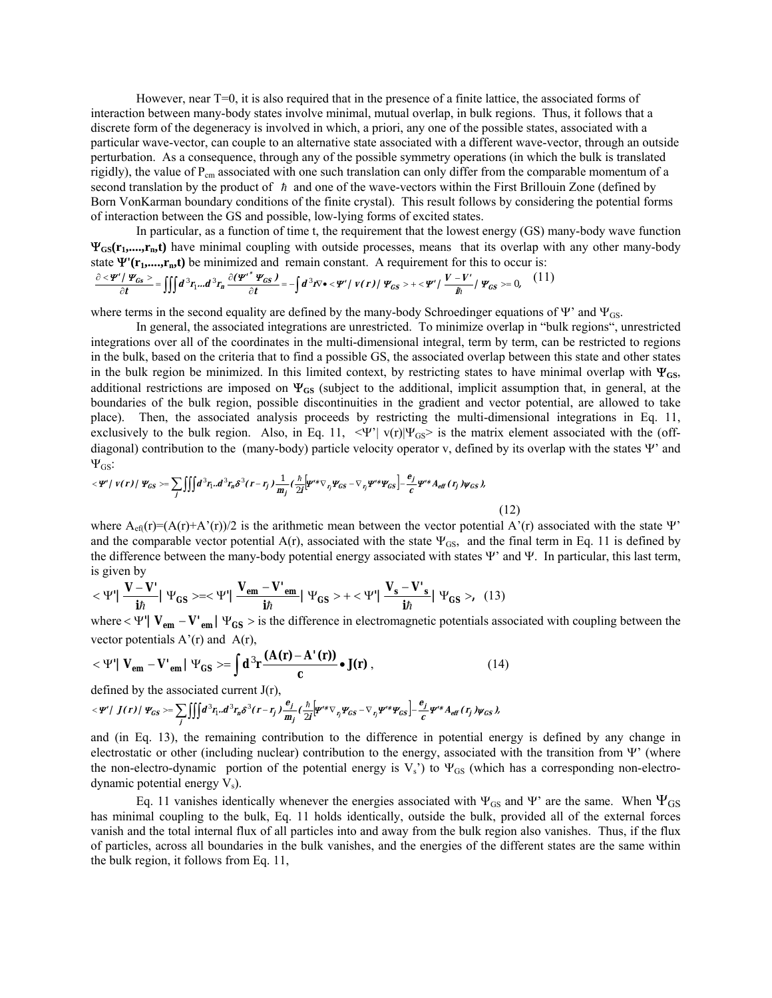However, near T=0, it is also required that in the presence of a finite lattice, the associated forms of interaction between many-body states involve minimal, mutual overlap, in bulk regions. Thus, it follows that a discrete form of the degeneracy is involved in which, a priori, any one of the possible states, associated with a particular wave-vector, can couple to an alternative state associated with a different wave-vector, through an outside perturbation. As a consequence, through any of the possible symmetry operations (in which the bulk is translated rigidly), the value of  $P_{cm}$  associated with one such translation can only differ from the comparable momentum of a second translation by the product of  $\hbar$  and one of the wave-vectors within the First Brillouin Zone (defined by Born VonKarman boundary conditions of the finite crystal). This result follows by considering the potential forms of interaction between the GS and possible, low-lying forms of excited states.

In particular, as a function of time t, the requirement that the lowest energy (GS) many-body wave function Ψ**GS(r1,....,rn,t)** have minimal coupling with outside processes, means that its overlap with any other many-body state  $\Psi'(\mathbf{r}_1, \dots, \mathbf{r}_n, t)$  be minimized and remain constant. A requirement for this to occur is:

$$
\frac{\partial \langle \Psi' / \Psi_{\text{GS}} \rangle}{\partial t} = \iiint d^3 r_1 ... d^3 r_n \frac{\partial (\Psi' \Psi_{\text{GS}})}{\partial t} = - \int d^3 r \nabla \bullet \langle \Psi' / \nu(r) / \Psi_{\text{GS}} \rangle + \langle \Psi' / \nu \langle \Psi'' \rangle / \Psi_{\text{GS}} \rangle = 0, \quad (11)
$$

where terms in the second equality are defined by the many-body Schroedinger equations of  $\Psi$ <sup>'</sup> and  $\Psi$ <sub>GS</sub>.

In general, the associated integrations are unrestricted. To minimize overlap in "bulk regions", unrestricted integrations over all of the coordinates in the multi-dimensional integral, term by term, can be restricted to regions in the bulk, based on the criteria that to find a possible GS, the associated overlap between this state and other states in the bulk region be minimized. In this limited context, by restricting states to have minimal overlap with  $\Psi_{\text{GS}}$ , additional restrictions are imposed on Ψ**GS** (subject to the additional, implicit assumption that, in general, at the boundaries of the bulk region, possible discontinuities in the gradient and vector potential, are allowed to take place). Then, the associated analysis proceeds by restricting the multi-dimensional integrations in Eq. 11, exclusively to the bulk region. Also, in Eq. 11,  $\langle \Psi^{\prime} | v(r) | \Psi_{GS} \rangle$  is the matrix element associated with the (offdiagonal) contribution to the (many-body) particle velocity operator v, defined by its overlap with the states  $\Psi'$  and  $Ψ$ <sub>GS</sub>:

$$
\langle \Psi' | v(r) | \Psi_{GS} \rangle = \sum_j \iiint d^3 r_1 . d^3 r_n \delta^3 (r - r_j) \frac{1}{m_j} \left( \frac{\hbar}{2I} \left[ \Psi'' \nabla_{r_j} \Psi_{GS} - \nabla_{r_j} \Psi'' \Psi_{GS} \right] - \frac{e_j}{c} \Psi'' \Lambda_{eff} (r_j) \Psi_{GS} \right),
$$

where  $A_{\text{eff}}(r)=(A(r)+A'(r))/2$  is the arithmetic mean between the vector potential  $A'(r)$  associated with the state Ψ and the comparable vector potential  $A(r)$ , associated with the state  $\Psi_{GS}$ , and the final term in Eq. 11 is defined by the difference between the many-body potential energy associated with states  $\Psi'$  and  $\Psi$ . In particular, this last term, is given by

(12)

$$
\langle \Psi' | \frac{\mathbf{V} - \mathbf{V}'}{i\hbar} | \Psi_{GS} \rangle = \langle \Psi' | \frac{\mathbf{V}_{em} - \mathbf{V}_{em}}{i\hbar} | \Psi_{GS} \rangle + \langle \Psi' | \frac{\mathbf{V}_{s} - \mathbf{V}_{s}}{i\hbar} | \Psi_{GS} \rangle, \tag{13}
$$

where  $\lt \Psi' | V_{em} - V'_{em} | \Psi_{GS} >$  is the difference in electromagnetic potentials associated with coupling between the vector potentials  $A'(r)$  and  $A(r)$ ,

$$
<\Psi'|\mathbf{V}_{em} - \mathbf{V'}_{em}|\Psi_{GS} > = \int d^3\mathbf{r} \frac{(\mathbf{A}(\mathbf{r}) - \mathbf{A'}(\mathbf{r}))}{c} \bullet \mathbf{J}(\mathbf{r}),
$$
 (14)

defined by the associated current J(r),

$$
\langle \Psi^{\prime} \rangle J(r) / \Psi_{GS} \rangle = \sum_{j} \iiint d^{3}r_{i} \cdot d^{3}r_{n} \delta^{3}(r-r_{j}) \frac{e_{j}}{m_{j}} \left(\frac{\hbar}{2j} \left[\Psi^{\prime *} \nabla_{r_{j}} \Psi_{GS} - \nabla_{r_{j}} \Psi^{\prime *} \Psi_{GS}\right] - \frac{e_{j}}{c} \Psi^{\prime *} A_{eff}(r_{j}) \Psi_{GS}\right),
$$

and (in Eq. 13), the remaining contribution to the difference in potential energy is defined by any change in electrostatic or other (including nuclear) contribution to the energy, associated with the transition from Ψ' (where the non-electro-dynamic portion of the potential energy is  $V_s$ ) to  $\Psi_{GS}$  (which has a corresponding non-electrodynamic potential energy  $V_s$ ).

Eq. 11 vanishes identically whenever the energies associated with  $\Psi_{GS}$  and  $\Psi'$  are the same. When  $\Psi_{GS}$ has minimal coupling to the bulk, Eq. 11 holds identically, outside the bulk, provided all of the external forces vanish and the total internal flux of all particles into and away from the bulk region also vanishes. Thus, if the flux of particles, across all boundaries in the bulk vanishes, and the energies of the different states are the same within the bulk region, it follows from Eq. 11,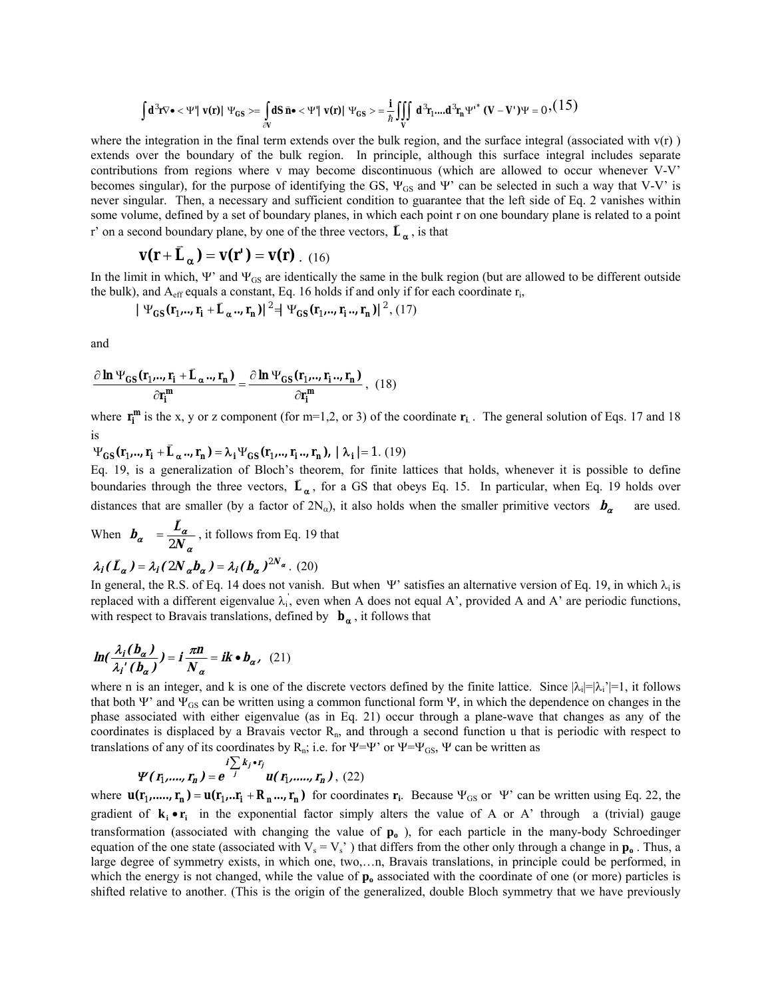$$
\int d^3 \mathbf{r} \nabla \bullet <\Psi' | \mathbf{v}(\mathbf{r}) | \Psi_{GS} > = \int_{\partial V} dS \; \hat{\mathbf{n}} \bullet <\Psi' | \mathbf{v}(\mathbf{r}) | \Psi_{GS} > = \frac{i}{\hbar} \iiint_{V} d^3 \mathbf{r}_1 ... d^3 \mathbf{r}_n \Psi'^* (\mathbf{V} - \mathbf{V}') \Psi = 0 , (15)
$$

where the integration in the final term extends over the bulk region, and the surface integral (associated with  $v(r)$ ) extends over the boundary of the bulk region. In principle, although this surface integral includes separate contributions from regions where v may become discontinuous (which are allowed to occur whenever V-V becomes singular), for the purpose of identifying the GS,  $\Psi_{GS}$  and  $\Psi'$  can be selected in such a way that V-V' is never singular. Then, a necessary and sufficient condition to guarantee that the left side of Eq. 2 vanishes within some volume, defined by a set of boundary planes, in which each point r on one boundary plane is related to a point r<sup>3</sup> on a second boundary plane, by one of the three vectors,  $\vec{L}_{\alpha}$ , is that

$$
\mathbf{v}(\mathbf{r} + \mathbf{\bar{L}}_{\alpha}) = \mathbf{v}(\mathbf{r}') = \mathbf{v}(\mathbf{r}) \quad (16)
$$

In the limit in which, Ψ' and  $\Psi_{GS}$  are identically the same in the bulk region (but are allowed to be different outside the bulk), and  $A_{\text{eff}}$  equals a constant, Eq. 16 holds if and only if for each coordinate  $r_i$ ,

$$
|\Psi_{\text{GS}}(\mathbf{r}_1, \dots, \mathbf{r}_i + \mathbf{L}_{\alpha} \dots \mathbf{r}_n)|^2 = |\Psi_{\text{GS}}(\mathbf{r}_1, \dots, \mathbf{r}_i \dots \mathbf{r}_n)|^2, (17)
$$

and

$$
\frac{\partial \ln \Psi_{GS}(\mathbf{r}_1,..,\mathbf{r}_i + \bar{\mathbf{L}}_{\alpha}..,\mathbf{r}_n)}{\partial \mathbf{r}_i^m} = \frac{\partial \ln \Psi_{GS}(\mathbf{r}_1,..,\mathbf{r}_i..,\mathbf{r}_n)}{\partial \mathbf{r}_i^m}, (18)
$$

where  $\mathbf{r_i^m}$  is the x, y or z component (for m=1,2, or 3) of the coordinate  $\mathbf{r_i}$ . The general solution of Eqs. 17 and 18 is

 $\Psi_{\text{GS}}(\mathbf{r}_1, \dots, \mathbf{r}_i + \mathbf{L}_{\alpha}, \dots, \mathbf{r}_n) = \lambda_i \Psi_{\text{GS}}(\mathbf{r}_1, \dots, \mathbf{r}_i, \dots, \mathbf{r}_n), \ |\lambda_i| = 1. \ (19)$ 

Eq. 19, is a generalization of Bloch's theorem, for finite lattices that holds, whenever it is possible to define boundaries through the three vectors,  $\vec{L}_{\alpha}$ , for a GS that obeys Eq. 15. In particular, when Eq. 19 holds over distances that are smaller (by a factor of  $2N_\alpha$ ), it also holds when the smaller primitive vectors  $\bm{b}_\alpha$  are used.

When α  $b_{\alpha} = \frac{L_{\alpha}}{2N}$ 2 r<br>K  $=\frac{2a}{2\pi r}$ , it follows from Eq. 19 that

$$
\lambda_i(\bar{L}_{\alpha}) = \lambda_i(2N_{\alpha}b_{\alpha}) = \lambda_i(b_{\alpha})^{2N_{\alpha}}.
$$
 (20)

In general, the R.S. of Eq. 14 does not vanish. But when Ψ' satisfies an alternative version of Eq. 19, in which  $\lambda_i$  is replaced with a different eigenvalue  $\lambda_i$ , even when A does not equal A', provided A and A' are periodic functions, with respect to Bravais translations, defined by  $\mathbf{b}_{\alpha}$ , it follows that

$$
\ln(\frac{\lambda_i(b_\alpha)}{\lambda_i'(b_\alpha)}) = i\frac{\pi n}{N_\alpha} = ik \bullet b_\alpha, (21)
$$

where n is an integer, and k is one of the discrete vectors defined by the finite lattice. Since  $|\lambda_i| = |\lambda_i'| = 1$ , it follows that both Ψ' and  $\Psi_{GS}$  can be written using a common functional form Ψ, in which the dependence on changes in the phase associated with either eigenvalue (as in Eq. 21) occur through a plane-wave that changes as any of the coordinates is displaced by a Bravais vector  $R_n$ , and through a second function u that is periodic with respect to translations of any of its coordinates by R<sub>n</sub>; i.e. for  $\Psi = \Psi'$  or  $\Psi = \Psi_{GS}$ ,  $\Psi$  can be written as

$$
\Psi(r_1, \ldots, r_n) = e^{-j\sum_{j=1}^{i} k_j \cdot r_j} u(r_1, \ldots, r_n), (22)
$$

where  $\mathbf{u}(\mathbf{r}_1, ..., \mathbf{r}_n) = \mathbf{u}(\mathbf{r}_1, ..., \mathbf{r}_i + \mathbf{R}_n, ..., \mathbf{r}_n)$  for coordinates  $\mathbf{r}_i$ . Because  $\Psi_{GS}$  or  $\Psi$  can be written using Eq. 22, the gradient of  $\mathbf{k}_i \cdot \mathbf{r}_i$  in the exponential factor simply alters the value of A or A' through a (trivial) gauge transformation (associated with changing the value of **po** ), for each particle in the many-body Schroedinger equation of the one state (associated with  $V_s = V_s$ ) that differs from the other only through a change in  $p_o$ . Thus, a large degree of symmetry exists, in which one, two,...n, Bravais translations, in principle could be performed, in which the energy is not changed, while the value of  $p_0$  associated with the coordinate of one (or more) particles is shifted relative to another. (This is the origin of the generalized, double Bloch symmetry that we have previously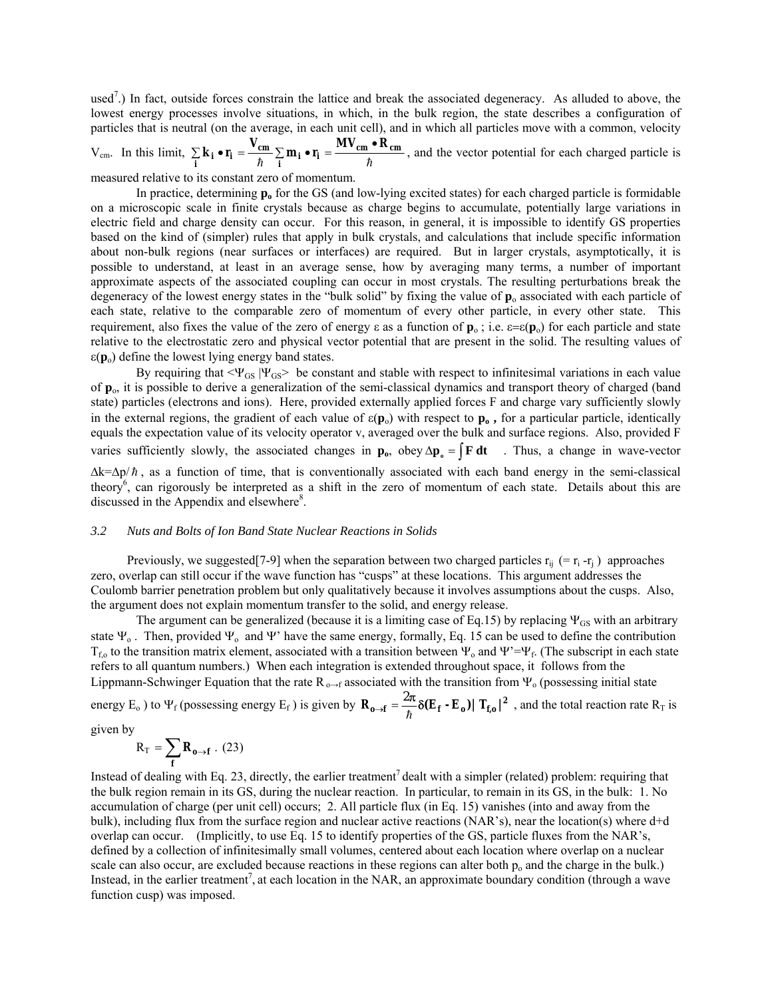used<sup>7</sup>.) In fact, outside forces constrain the lattice and break the associated degeneracy. As alluded to above, the lowest energy processes involve situations, in which, in the bulk region, the state describes a configuration of particles that is neutral (on the average, in each unit cell), and in which all particles move with a common, velocity

$$
V_{cm}.
$$
 In this limit,  $\sum_{i} \mathbf{k}_i \cdot \mathbf{r}_i = \frac{V_{cm}}{\hbar} \sum_{i} \mathbf{m}_i \cdot \mathbf{r}_i = \frac{MV_{cm} \cdot R_{cm}}{\hbar}$ , and the vector potential for each charged particle is

measured relative to its constant zero of momentum.

In practice, determining **po** for the GS (and low-lying excited states) for each charged particle is formidable on a microscopic scale in finite crystals because as charge begins to accumulate, potentially large variations in electric field and charge density can occur. For this reason, in general, it is impossible to identify GS properties based on the kind of (simpler) rules that apply in bulk crystals, and calculations that include specific information about non-bulk regions (near surfaces or interfaces) are required. But in larger crystals, asymptotically, it is possible to understand, at least in an average sense, how by averaging many terms, a number of important approximate aspects of the associated coupling can occur in most crystals. The resulting perturbations break the degeneracy of the lowest energy states in the "bulk solid" by fixing the value of  $\mathbf{p}_o$  associated with each particle of each state, relative to the comparable zero of momentum of every other particle, in every other state. This requirement, also fixes the value of the zero of energy  $\varepsilon$  as a function of  $\mathbf{p}_0$ ; i.e.  $\varepsilon = \varepsilon(\mathbf{p}_0)$  for each particle and state relative to the electrostatic zero and physical vector potential that are present in the solid. The resulting values of  $\varepsilon(\mathbf{p}_0)$  define the lowest lying energy band states.

By requiring that  $\Psi_{GS}$  | $\Psi_{GS}$  be constant and stable with respect to infinitesimal variations in each value of **p**o, it is possible to derive a generalization of the semi-classical dynamics and transport theory of charged (band state) particles (electrons and ions). Here, provided externally applied forces F and charge vary sufficiently slowly in the external regions, the gradient of each value of  $\varepsilon(\mathbf{p}_0)$  with respect to  $\mathbf{p}_0$ , for a particular particle, identically equals the expectation value of its velocity operator v, averaged over the bulk and surface regions. Also, provided F varies sufficiently slowly, the associated changes in  $\mathbf{p}_0$ , obey  $\Delta \mathbf{p}_0 = \int \mathbf{F} \, \mathbf{dt}$  . Thus, a change in wave-vector

 $\Delta k = \Delta p / \hbar$ , as a function of time, that is conventionally associated with each band energy in the semi-classical theory<sup>6</sup>, can rigorously be interpreted as a shift in the zero of momentum of each state. Details about this are discussed in the Appendix and elsewhere<sup>8</sup>.

#### *3.2 Nuts and Bolts of Ion Band State Nuclear Reactions in Solids*

Previously, we suggested [7-9] when the separation between two charged particles  $r_{ii}$  (=  $r_i$  - $r_i$ ) approaches zero, overlap can still occur if the wave function has "cusps" at these locations. This argument addresses the Coulomb barrier penetration problem but only qualitatively because it involves assumptions about the cusps. Also, the argument does not explain momentum transfer to the solid, and energy release.

The argument can be generalized (because it is a limiting case of Eq.15) by replacing  $\Psi_{GS}$  with an arbitrary state  $\Psi_o$ . Then, provided  $\Psi_o$  and  $\Psi'$  have the same energy, formally, Eq. 15 can be used to define the contribution  $T_{f,0}$  to the transition matrix element, associated with a transition between  $\Psi_0$  and  $\Psi'=\Psi_f$ . (The subscript in each state refers to all quantum numbers.) When each integration is extended throughout space, it follows from the Lippmann-Schwinger Equation that the rate  $R_{o\to f}$  associated with the transition from  $\Psi_o$  (possessing initial state

energy E<sub>o</sub> ) to  $\Psi_f$  (possessing energy E<sub>f</sub>) is given by  $\mathbf{R}_{\mathbf{0}\to\mathbf{f}} = \frac{2\pi}{\hbar} \delta(\mathbf{E}_{\mathbf{f}} \cdot \mathbf{E}_{\mathbf{0}}) |\mathbf{T}_{\mathbf{f},\mathbf{0}}|^2$  $\Delta_{\rm eff} = \frac{2\pi}{\hbar} \delta(E_f - E_o) |T_{f,o}|^2$ , and the total reaction rate R<sub>T</sub> is

given by

$$
R_T = \sum_{f} \mathbf{R}_{\mathbf{0}\to f} \ . \ (23)
$$

Instead of dealing with Eq. 23, directly, the earlier treatment<sup>7</sup> dealt with a simpler (related) problem: requiring that the bulk region remain in its GS, during the nuclear reaction. In particular, to remain in its GS, in the bulk: 1. No accumulation of charge (per unit cell) occurs; 2. All particle flux (in Eq. 15) vanishes (into and away from the bulk), including flux from the surface region and nuclear active reactions (NAR's), near the location(s) where d+d overlap can occur. (Implicitly, to use Eq. 15 to identify properties of the GS, particle fluxes from the NARís, defined by a collection of infinitesimally small volumes, centered about each location where overlap on a nuclear scale can also occur, are excluded because reactions in these regions can alter both  $p_0$  and the charge in the bulk.) Instead, in the earlier treatment<sup>7</sup>, at each location in the NAR, an approximate boundary condition (through a wave function cusp) was imposed.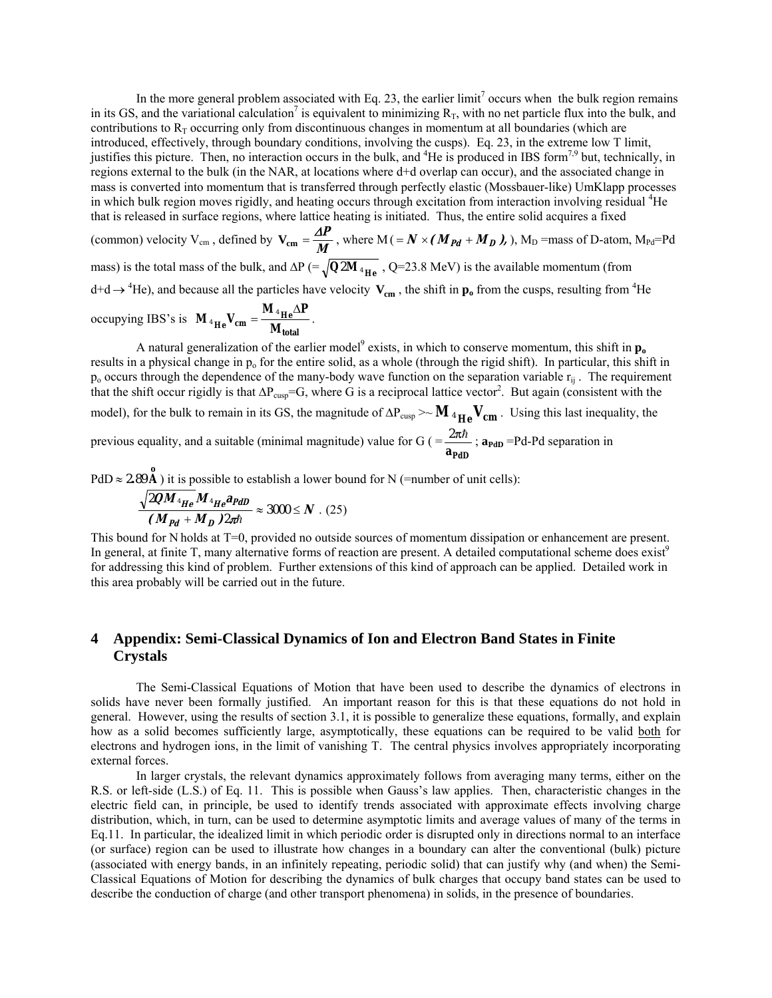In the more general problem associated with Eq. 23, the earlier  $\lim_{t \to \infty}$  occurs when the bulk region remains in its GS, and the variational calculation<sup>7</sup> is equivalent to minimizing  $R_T$ , with no net particle flux into the bulk, and contributions to  $R<sub>T</sub>$  occurring only from discontinuous changes in momentum at all boundaries (which are introduced, effectively, through boundary conditions, involving the cusps). Eq. 23, in the extreme low T limit, justifies this picture. Then, no interaction occurs in the bulk, and <sup>4</sup>He is produced in IBS form<sup>7,9</sup> but, technically, in regions external to the bulk (in the NAR, at locations where d+d overlap can occur), and the associated change in mass is converted into momentum that is transferred through perfectly elastic (Mossbauer-like) UmKlapp processes in which bulk region moves rigidly, and heating occurs through excitation from interaction involving residual <sup>4</sup>He that is released in surface regions, where lattice heating is initiated. Thus, the entire solid acquires a fixed

(common) velocity  $V_{cm}$ , defined by  $V_{cm} = \frac{\Delta P}{M}$ , where  $M = N \times (M_{Pd} + M_D)$ ,  $M_D$  =mass of D-atom,  $M_{Pd} = Pd$ mass) is the total mass of the bulk, and  $\Delta P$  (=  $\sqrt{Q2M}$ <sub>4He</sub>, Q=23.8 MeV) is the available momentum (from  $d+d \rightarrow {}^4He$ ), and because all the particles have velocity  $V_{cm}$ , the shift in  $p_o$  from the cusps, resulting from <sup>4</sup>He

occupying IBS's is 
$$
\mathbf{M}_{4\text{He}}V_{cm} = \frac{\mathbf{M}_{4\text{He}}\Delta P}{\mathbf{M}_{total}}
$$
.

A natural generalization of the earlier model<sup>9</sup> exists, in which to conserve momentum, this shift in  $\mathbf{p}_{o}$ results in a physical change in p<sub>o</sub> for the entire solid, as a whole (through the rigid shift). In particular, this shift in  $p_0$  occurs through the dependence of the many-body wave function on the separation variable  $r_{ii}$ . The requirement that the shift occur rigidly is that  $\Delta P_{\text{cusp}}$ =G, where G is a reciprocal lattice vector<sup>2</sup>. But again (consistent with the model), for the bulk to remain in its GS, the magnitude of  $\Delta P_{cusp} \sim M_{4He} V_{cm}$ . Using this last inequality, the previous equality, and a suitable (minimal magnitude) value for  $G$  (= **aPdD**  $\frac{2\pi\hbar}{\mu}$ ; **a**<sub>PdD</sub> =Pd-Pd separation in

 $PdD \approx 2.89 \text{ Å}$ ) it is possible to establish a lower bound for N (=number of unit cells):

$$
\frac{\sqrt{2QM_{^4He}M_{^4He}A_{PdD}}}{(M_{Pd}+M_D)2\pi\hbar} \approx 3000 \le N \cdot (25)
$$

This bound for N holds at T=0, provided no outside sources of momentum dissipation or enhancement are present. In general, at finite  $T$ , many alternative forms of reaction are present. A detailed computational scheme does exist<sup>9</sup> for addressing this kind of problem. Further extensions of this kind of approach can be applied. Detailed work in this area probably will be carried out in the future.

## **4 Appendix: Semi-Classical Dynamics of Ion and Electron Band States in Finite Crystals**

The Semi-Classical Equations of Motion that have been used to describe the dynamics of electrons in solids have never been formally justified. An important reason for this is that these equations do not hold in general. However, using the results of section 3.1, it is possible to generalize these equations, formally, and explain how as a solid becomes sufficiently large, asymptotically, these equations can be required to be valid both for electrons and hydrogen ions, in the limit of vanishing T. The central physics involves appropriately incorporating external forces.

In larger crystals, the relevant dynamics approximately follows from averaging many terms, either on the R.S. or left-side (L.S.) of Eq. 11. This is possible when Gauss's law applies. Then, characteristic changes in the electric field can, in principle, be used to identify trends associated with approximate effects involving charge distribution, which, in turn, can be used to determine asymptotic limits and average values of many of the terms in Eq.11. In particular, the idealized limit in which periodic order is disrupted only in directions normal to an interface (or surface) region can be used to illustrate how changes in a boundary can alter the conventional (bulk) picture (associated with energy bands, in an infinitely repeating, periodic solid) that can justify why (and when) the Semi-Classical Equations of Motion for describing the dynamics of bulk charges that occupy band states can be used to describe the conduction of charge (and other transport phenomena) in solids, in the presence of boundaries.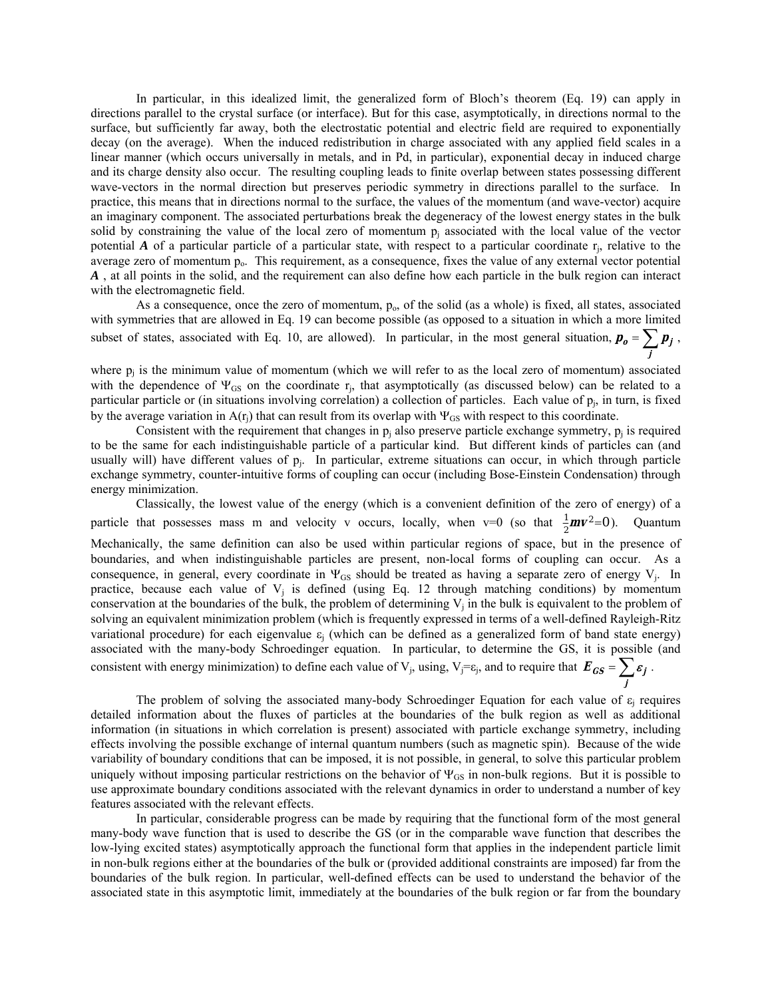In particular, in this idealized limit, the generalized form of Bloch's theorem (Eq. 19) can apply in directions parallel to the crystal surface (or interface). But for this case, asymptotically, in directions normal to the surface, but sufficiently far away, both the electrostatic potential and electric field are required to exponentially decay (on the average). When the induced redistribution in charge associated with any applied field scales in a linear manner (which occurs universally in metals, and in Pd, in particular), exponential decay in induced charge and its charge density also occur. The resulting coupling leads to finite overlap between states possessing different wave-vectors in the normal direction but preserves periodic symmetry in directions parallel to the surface. In practice, this means that in directions normal to the surface, the values of the momentum (and wave-vector) acquire an imaginary component. The associated perturbations break the degeneracy of the lowest energy states in the bulk solid by constraining the value of the local zero of momentum  $p_i$  associated with the local value of the vector potential *A* of a particular particle of a particular state, with respect to a particular coordinate  $r_i$ , relative to the average zero of momentum  $p_0$ . This requirement, as a consequence, fixes the value of any external vector potential *A* , at all points in the solid, and the requirement can also define how each particle in the bulk region can interact with the electromagnetic field.

As a consequence, once the zero of momentum,  $p_0$ , of the solid (as a whole) is fixed, all states, associated with symmetries that are allowed in Eq. 19 can become possible (as opposed to a situation in which a more limited subset of states, associated with Eq. 10, are allowed). In particular, in the most general situation,  $p_o = \sum p_j$ , **j**

where  $p_i$  is the minimum value of momentum (which we will refer to as the local zero of momentum) associated with the dependence of  $\Psi_{GS}$  on the coordinate  $r_i$ , that asymptotically (as discussed below) can be related to a particular particle or (in situations involving correlation) a collection of particles. Each value of  $p_i$ , in turn, is fixed by the average variation in  $A(r_i)$  that can result from its overlap with  $\Psi_{GS}$  with respect to this coordinate.

Consistent with the requirement that changes in  $p_i$  also preserve particle exchange symmetry,  $p_i$  is required to be the same for each indistinguishable particle of a particular kind. But different kinds of particles can (and usually will) have different values of pj. In particular, extreme situations can occur, in which through particle exchange symmetry, counter-intuitive forms of coupling can occur (including Bose-Einstein Condensation) through energy minimization.

Classically, the lowest value of the energy (which is a convenient definition of the zero of energy) of a particle that possesses mass m and velocity v occurs, locally, when  $v=0$  (so that  $\frac{1}{2}mv^2=0$  $\frac{1}{2}mv^2=0$ ). Quantum consistent with energy minimization) to define each value of V<sub>j</sub>, using, V<sub>j</sub>= $\varepsilon$ <sub>j</sub>, and to require that  $E_{GS} = \sum \varepsilon_j$ . Mechanically, the same definition can also be used within particular regions of space, but in the presence of boundaries, and when indistinguishable particles are present, non-local forms of coupling can occur. As a consequence, in general, every coordinate in Ψ<sub>GS</sub> should be treated as having a separate zero of energy V<sub>i</sub>. In practice, because each value of  $V_i$  is defined (using Eq. 12 through matching conditions) by momentum conservation at the boundaries of the bulk, the problem of determining  $V_i$  in the bulk is equivalent to the problem of solving an equivalent minimization problem (which is frequently expressed in terms of a well-defined Rayleigh-Ritz variational procedure) for each eigenvalue  $\varepsilon$ <sub>i</sub> (which can be defined as a generalized form of band state energy) associated with the many-body Schroedinger equation. In particular, to determine the GS, it is possible (and

The problem of solving the associated many-body Schroedinger Equation for each value of  $\varepsilon_i$  requires detailed information about the fluxes of particles at the boundaries of the bulk region as well as additional information (in situations in which correlation is present) associated with particle exchange symmetry, including effects involving the possible exchange of internal quantum numbers (such as magnetic spin). Because of the wide variability of boundary conditions that can be imposed, it is not possible, in general, to solve this particular problem uniquely without imposing particular restrictions on the behavior of  $\Psi_{GS}$  in non-bulk regions. But it is possible to use approximate boundary conditions associated with the relevant dynamics in order to understand a number of key features associated with the relevant effects.

**j**

In particular, considerable progress can be made by requiring that the functional form of the most general many-body wave function that is used to describe the GS (or in the comparable wave function that describes the low-lying excited states) asymptotically approach the functional form that applies in the independent particle limit in non-bulk regions either at the boundaries of the bulk or (provided additional constraints are imposed) far from the boundaries of the bulk region. In particular, well-defined effects can be used to understand the behavior of the associated state in this asymptotic limit, immediately at the boundaries of the bulk region or far from the boundary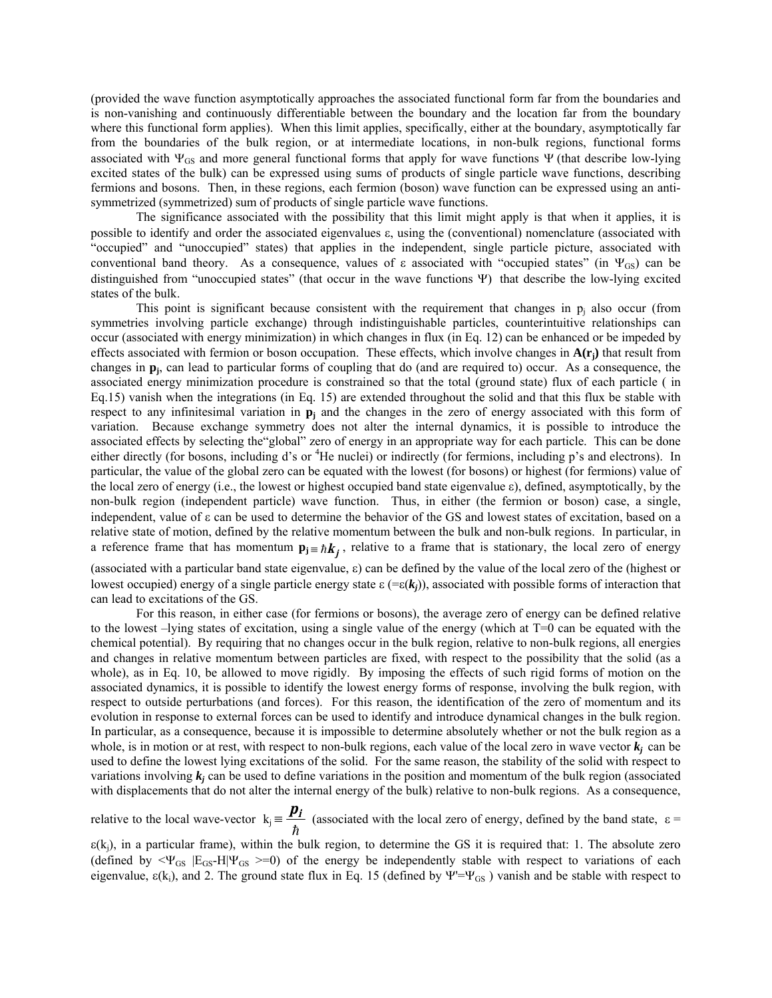(provided the wave function asymptotically approaches the associated functional form far from the boundaries and is non-vanishing and continuously differentiable between the boundary and the location far from the boundary where this functional form applies). When this limit applies, specifically, either at the boundary, asymptotically far from the boundaries of the bulk region, or at intermediate locations, in non-bulk regions, functional forms associated with  $\Psi_{GS}$  and more general functional forms that apply for wave functions  $\Psi$  (that describe low-lying excited states of the bulk) can be expressed using sums of products of single particle wave functions, describing fermions and bosons. Then, in these regions, each fermion (boson) wave function can be expressed using an antisymmetrized (symmetrized) sum of products of single particle wave functions.

The significance associated with the possibility that this limit might apply is that when it applies, it is possible to identify and order the associated eigenvalues ε, using the (conventional) nomenclature (associated with ìoccupiedî and ìunoccupiedî states) that applies in the independent, single particle picture, associated with conventional band theory. As a consequence, values of  $\varepsilon$  associated with "occupied states" (in  $\Psi_{GS}$ ) can be distinguished from "unoccupied states" (that occur in the wave functions Ψ) that describe the low-lying excited states of the bulk.

This point is significant because consistent with the requirement that changes in  $p_i$  also occur (from symmetries involving particle exchange) through indistinguishable particles, counterintuitive relationships can occur (associated with energy minimization) in which changes in flux (in Eq. 12) can be enhanced or be impeded by effects associated with fermion or boson occupation. These effects, which involve changes in  $A(r_i)$  that result from changes in **pj**, can lead to particular forms of coupling that do (and are required to) occur. As a consequence, the associated energy minimization procedure is constrained so that the total (ground state) flux of each particle ( in Eq.15) vanish when the integrations (in Eq. 15) are extended throughout the solid and that this flux be stable with respect to any infinitesimal variation in **pj** and the changes in the zero of energy associated with this form of variation. Because exchange symmetry does not alter the internal dynamics, it is possible to introduce the associated effects by selecting the "global" zero of energy in an appropriate way for each particle. This can be done either directly (for bosons, including d's or <sup>4</sup>He nuclei) or indirectly (for fermions, including p's and electrons). In particular, the value of the global zero can be equated with the lowest (for bosons) or highest (for fermions) value of the local zero of energy (i.e., the lowest or highest occupied band state eigenvalue ε), defined, asymptotically, by the non-bulk region (independent particle) wave function. Thus, in either (the fermion or boson) case, a single, independent, value of ε can be used to determine the behavior of the GS and lowest states of excitation, based on a relative state of motion, defined by the relative momentum between the bulk and non-bulk regions. In particular, in a reference frame that has momentum  $\mathbf{p}_j = \hbar \mathbf{k}_j$ , relative to a frame that is stationary, the local zero of energy

(associated with a particular band state eigenvalue, ε) can be defined by the value of the local zero of the (highest or lowest occupied) energy of a single particle energy state  $\varepsilon = (\varepsilon(k_i))$ , associated with possible forms of interaction that can lead to excitations of the GS.

For this reason, in either case (for fermions or bosons), the average zero of energy can be defined relative to the lowest  $-$ lying states of excitation, using a single value of the energy (which at  $T=0$  can be equated with the chemical potential). By requiring that no changes occur in the bulk region, relative to non-bulk regions, all energies and changes in relative momentum between particles are fixed, with respect to the possibility that the solid (as a whole), as in Eq. 10, be allowed to move rigidly. By imposing the effects of such rigid forms of motion on the associated dynamics, it is possible to identify the lowest energy forms of response, involving the bulk region, with respect to outside perturbations (and forces). For this reason, the identification of the zero of momentum and its evolution in response to external forces can be used to identify and introduce dynamical changes in the bulk region. In particular, as a consequence, because it is impossible to determine absolutely whether or not the bulk region as a whole, is in motion or at rest, with respect to non-bulk regions, each value of the local zero in wave vector  $k_i$  can be used to define the lowest lying excitations of the solid. For the same reason, the stability of the solid with respect to variations involving  $k_j$  can be used to define variations in the position and momentum of the bulk region (associated with displacements that do not alter the internal energy of the bulk) relative to non-bulk regions. As a consequence,

relative to the local wave-vector  $k_j$ h  $\frac{\mathbf{p}_i}{\mathbf{p}}$  (associated with the local zero of energy, defined by the band state,  $\varepsilon =$ 

 $\varepsilon(k_i)$ , in a particular frame), within the bulk region, to determine the GS it is required that: 1. The absolute zero (defined by  $\langle \Psi_{GS} | E_{GS} - H | \Psi_{GS} \rangle = 0$ ) of the energy be independently stable with respect to variations of each eigenvalue,  $\varepsilon(k_i)$ , and 2. The ground state flux in Eq. 15 (defined by  $\Psi'=\Psi_{GS}$ ) vanish and be stable with respect to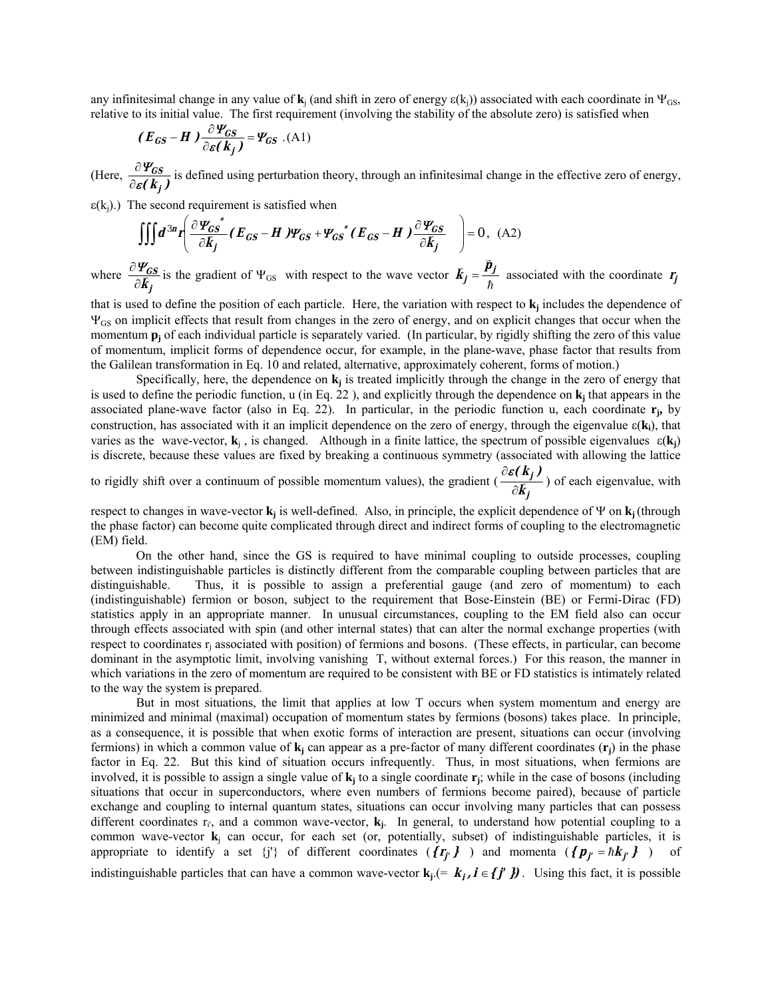any infinitesimal change in any value of **k**<sub>i</sub> (and shift in zero of energy  $\varepsilon(k_i)$ ) associated with each coordinate in  $\Psi_{GS}$ . relative to its initial value. The first requirement (involving the stability of the absolute zero) is satisfied when

$$
(E_{GS} - H) \frac{\partial \Psi_{CS}}{\partial \varepsilon (k_j)} = \Psi_{GS} .
$$
 (A1)

 $(Here, \frac{\partial \mathbf{I}_{GS}}{\partial \varepsilon(\mathbf{k}_j)})$ ε Ψ  $\frac{\partial \Psi_{GS}}{\partial \varepsilon(\mathbf{k}_i)}$  is defined using perturbation theory, through an infinitesimal change in the effective zero of energy,

 $\varepsilon(k_j)$ .) The second requirement is satisfied when

$$
\iiint d^{3n}r \left( \frac{\partial \Psi_{GS}^*}{\partial \vec{k}_j} (\vec{E}_{GS} - \vec{H}) \Psi_{GS} + \Psi_{GS}^* (\vec{E}_{GS} - \vec{H}) \frac{\partial \Psi_{GS}}{\partial \vec{k}_j} \right) = 0, \text{ (A2)}
$$

where **j GS**  $\frac{\partial \Psi_{GS}}{\partial \vec{k}_j}$  is the gradient of  $\Psi_{GS}$  with respect to the wave vector  $\vec{k}_j = \frac{\vec{p}_j}{\hbar}$  associated with the coordinate  $\vec{r}_j$ 

that is used to define the position of each particle. Here, the variation with respect to **k <sup>j</sup>** includes the dependence of ΨGS on implicit effects that result from changes in the zero of energy, and on explicit changes that occur when the momentum **p**<sub>i</sub> of each individual particle is separately varied. (In particular, by rigidly shifting the zero of this value of momentum, implicit forms of dependence occur, for example, in the plane-wave, phase factor that results from the Galilean transformation in Eq. 10 and related, alternative, approximately coherent, forms of motion.)

Specifically, here, the dependence on  $\mathbf{k}_j$  is treated implicitly through the change in the zero of energy that is used to define the periodic function,  $u$  (in Eq. 22), and explicitly through the dependence on  $k_i$  that appears in the associated plane-wave factor (also in Eq. 22). In particular, in the periodic function u, each coordinate **rj,** by construction, has associated with it an implicit dependence on the zero of energy, through the eigenvalue  $\epsilon(\mathbf{k}_i)$ , that varies as the wave-vector,  $\mathbf{k}_i$ , is changed. Although in a finite lattice, the spectrum of possible eigenvalues  $\varepsilon(\mathbf{k}_i)$ is discrete, because these values are fixed by breaking a continuous symmetry (associated with allowing the lattice

to rigidly shift over a continuum of possible momentum values), the gradient ( **j j k ( <sup>k</sup> )** <sup>v</sup> ∂  $\frac{\partial \varepsilon(k_j)}{\partial \zeta}$ ) of each eigenvalue, with

respect to changes in wave-vector **kj** is well-defined. Also, in principle, the explicit dependence of Ψ on **kj** (through the phase factor) can become quite complicated through direct and indirect forms of coupling to the electromagnetic (EM) field.

On the other hand, since the GS is required to have minimal coupling to outside processes, coupling between indistinguishable particles is distinctly different from the comparable coupling between particles that are distinguishable. Thus, it is possible to assign a preferential gauge (and zero of momentum) to each (indistinguishable) fermion or boson, subject to the requirement that Bose-Einstein (BE) or Fermi-Dirac (FD) statistics apply in an appropriate manner. In unusual circumstances, coupling to the EM field also can occur through effects associated with spin (and other internal states) that can alter the normal exchange properties (with respect to coordinates r<sub>i</sub> associated with position) of fermions and bosons. (These effects, in particular, can become dominant in the asymptotic limit, involving vanishing T, without external forces.) For this reason, the manner in which variations in the zero of momentum are required to be consistent with BE or FD statistics is intimately related to the way the system is prepared.

But in most situations, the limit that applies at low T occurs when system momentum and energy are minimized and minimal (maximal) occupation of momentum states by fermions (bosons) takes place. In principle, as a consequence, it is possible that when exotic forms of interaction are present, situations can occur (involving fermions) in which a common value of  $\mathbf{k}_i$  can appear as a pre-factor of many different coordinates  $(\mathbf{r}_i)$  in the phase factor in Eq. 22. But this kind of situation occurs infrequently. Thus, in most situations, when fermions are involved, it is possible to assign a single value of  $\mathbf{k}_i$  to a single coordinate  $\mathbf{r}_i$ ; while in the case of bosons (including situations that occur in superconductors, where even numbers of fermions become paired), because of particle exchange and coupling to internal quantum states, situations can occur involving many particles that can possess different coordinates  $r_i$ , and a common wave-vector,  $\mathbf{k}_j$ . In general, to understand how potential coupling to a common wave-vector **k**j can occur, for each set (or, potentially, subset) of indistinguishable particles, it is appropriate to identify a set  $\{j'\}$  of different coordinates  $(\{r_{j'}\})$  and momenta  $(\{p_{j'}=h k_{j'}\})$  of

indistinguishable particles that can have a common wave-vector  $\mathbf{k}_j = \mathbf{k}_j$ ,  $\mathbf{i} \in \{j', j\}$ . Using this fact, it is possible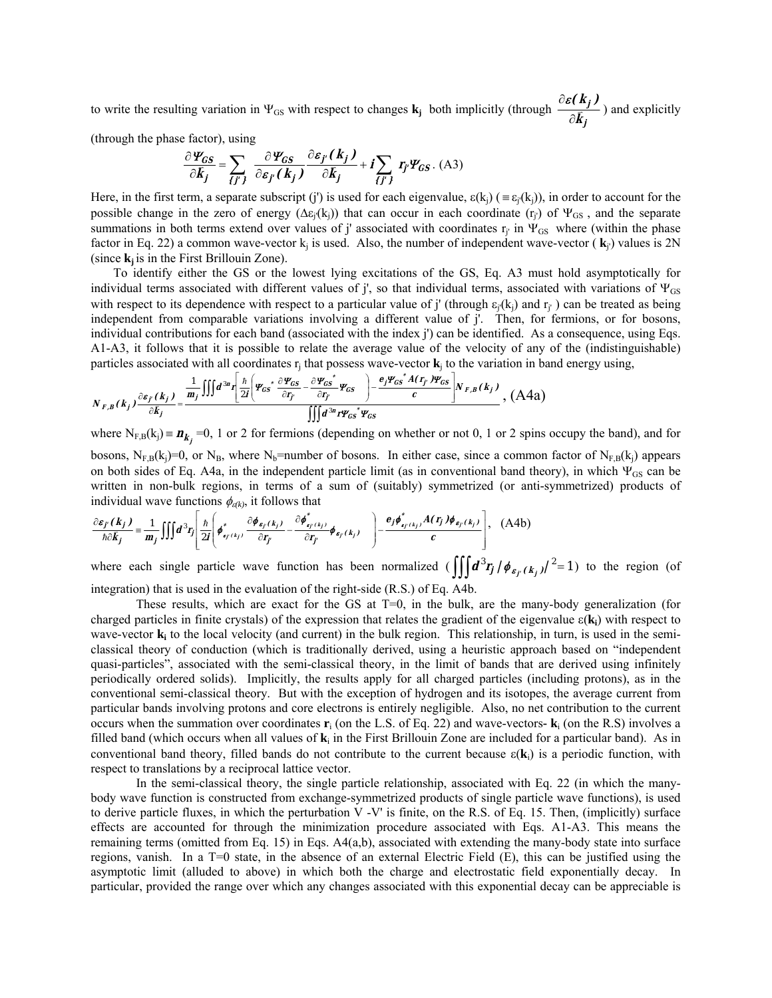to write the resulting variation in  $\Psi_{GS}$  with respect to changes  $\mathbf{k}_j$  both implicitly (through **j j k ( <sup>k</sup> )** <sup>v</sup> ∂  $\frac{\partial \varepsilon(k_j)}{\partial \overline{z}}$ ) and explicitly

(through the phase factor), using

$$
\frac{\partial \Psi_{GS}}{\partial \vec{k}_j} = \sum_{\{j'\}} \frac{\partial \Psi_{GS}}{\partial \varepsilon_{j'}(\vec{k}_j)} \frac{\partial \varepsilon_{j'}(\vec{k}_j)}{\partial \vec{k}_j} + i \sum_{\{j'\}} r_{j'} \Psi_{GS}.
$$
 (A3)

Here, in the first term, a separate subscript (j') is used for each eigenvalue,  $\varepsilon(k_i)$  ( $\equiv \varepsilon_i(k_i)$ ), in order to account for the possible change in the zero of energy ( $\Delta \varepsilon_j(k_j)$ ) that can occur in each coordinate (r<sub>j</sub>) of  $\Psi_{GS}$ , and the separate summations in both terms extend over values of j' associated with coordinates  $r_i$  in  $\Psi_{GS}$  where (within the phase factor in Eq. 22) a common wave-vector  $k_i$  is used. Also, the number of independent wave-vector ( $\mathbf{k}_i$ ) values is 2N (since  $\mathbf{k}_i$  is in the First Brillouin Zone).

To identify either the GS or the lowest lying excitations of the GS, Eq. A3 must hold asymptotically for individual terms associated with different values of j', so that individual terms, associated with variations of  $\Psi_{GS}$ with respect to its dependence with respect to a particular value of j' (through  $\varepsilon_i(k_i)$ ) and  $r_i$ ) can be treated as being independent from comparable variations involving a different value of j'. Then, for fermions, or for bosons, individual contributions for each band (associated with the index j') can be identified. As a consequence, using Eqs. A1-A3, it follows that it is possible to relate the average value of the velocity of any of the (indistinguishable) particles associated with all coordinates  $r_i$  that possess wave-vector  $\bf{k}_i$  to the variation in band energy using,

$$
N_{F,B}(k_j)\frac{\partial s_{f}(k_j)}{\partial k_j} = \frac{\frac{1}{m_j}\iiint d^{3n}r \left[\frac{\hbar}{2I}\left(\Psi_{GS} \frac{\partial \Psi_{GS}}{\partial r_{f}} - \frac{\partial \Psi_{GS}}{\partial r_{f}} \Psi_{GS}\right) - \frac{e_{j}\Psi_{GS} \dot{A}(r_{f})\Psi_{GS}}{c}\right]N_{F,B}(k_j)}{\iiint d^{3n}r\Psi_{GS} \dot{\Psi}_{GS}} N_{F,B}(k_j), \quad (A4a)
$$

where  $N_{F,B}(k_j) = n_{k_j} = 0$ , 1 or 2 for fermions (depending on whether or not 0, 1 or 2 spins occupy the band), and for bosons,  $N_{F,B}(k_j)=0$ , or  $N_B$ , where  $N_b$ =number of bosons. In either case, since a common factor of  $N_{F,B}(k_j)$  appears on both sides of Eq. A4a, in the independent particle limit (as in conventional band theory), in which  $\Psi_{GS}$  can be written in non-bulk regions, in terms of a sum of (suitably) symmetrized (or anti-symmetrized) products of individual wave functions  $\phi_{\epsilon(k)}$ , it follows that

$$
\frac{\partial \varepsilon_{j'}(k_j)}{\hbar \partial k_j} = \frac{1}{m_j} \iiint d^3r_j \left[ \frac{\hbar}{2i} \left( \phi^*_{s_{j'}(k_j)} - \frac{\partial \phi^*_{s_{j'}(k_j)}}{\partial r_{j'}} - \frac{\partial \phi^*_{s_{j'}(k_j)}}{\partial r_{j'}} \phi_{s_{j'}(k_j)} \right) - \frac{e_j \phi^*_{s_{j'}(k_j)} A(r_j) \phi_{s_{j'}(k_j)}}{c} \right], \quad \text{(A4b)}
$$

where each single particle wave function has been normalized  $\left(\iiint d^3r_j / \phi_{\varepsilon_{f'}(k_j)}/2^2 = 1\right)$  to the region (of integration) that is used in the evaluation of the right-side (R.S.) of Eq. A4b.

These results, which are exact for the GS at  $T=0$ , in the bulk, are the many-body generalization (for charged particles in finite crystals) of the expression that relates the gradient of the eigenvalue ε(**ki**) with respect to wave-vector **k**<sub>i</sub> to the local velocity (and current) in the bulk region. This relationship, in turn, is used in the semiclassical theory of conduction (which is traditionally derived, using a heuristic approach based on "independent" quasi-particlesî, associated with the semi-classical theory, in the limit of bands that are derived using infinitely periodically ordered solids). Implicitly, the results apply for all charged particles (including protons), as in the conventional semi-classical theory. But with the exception of hydrogen and its isotopes, the average current from particular bands involving protons and core electrons is entirely negligible. Also, no net contribution to the current occurs when the summation over coordinates  $\mathbf{r}_i$  (on the L.S. of Eq. 22) and wave-vectors-  $\mathbf{k}_i$  (on the R.S) involves a filled band (which occurs when all values of **k**i in the First Brillouin Zone are included for a particular band). As in conventional band theory, filled bands do not contribute to the current because  $\varepsilon(\mathbf{k}_i)$  is a periodic function, with respect to translations by a reciprocal lattice vector.

In the semi-classical theory, the single particle relationship, associated with Eq. 22 (in which the manybody wave function is constructed from exchange-symmetrized products of single particle wave functions), is used to derive particle fluxes, in which the perturbation V -V' is finite, on the R.S. of Eq. 15. Then, (implicitly) surface effects are accounted for through the minimization procedure associated with Eqs. A1-A3. This means the remaining terms (omitted from Eq. 15) in Eqs. A4(a,b), associated with extending the many-body state into surface regions, vanish. In a T=0 state, in the absence of an external Electric Field (E), this can be justified using the asymptotic limit (alluded to above) in which both the charge and electrostatic field exponentially decay. In particular, provided the range over which any changes associated with this exponential decay can be appreciable is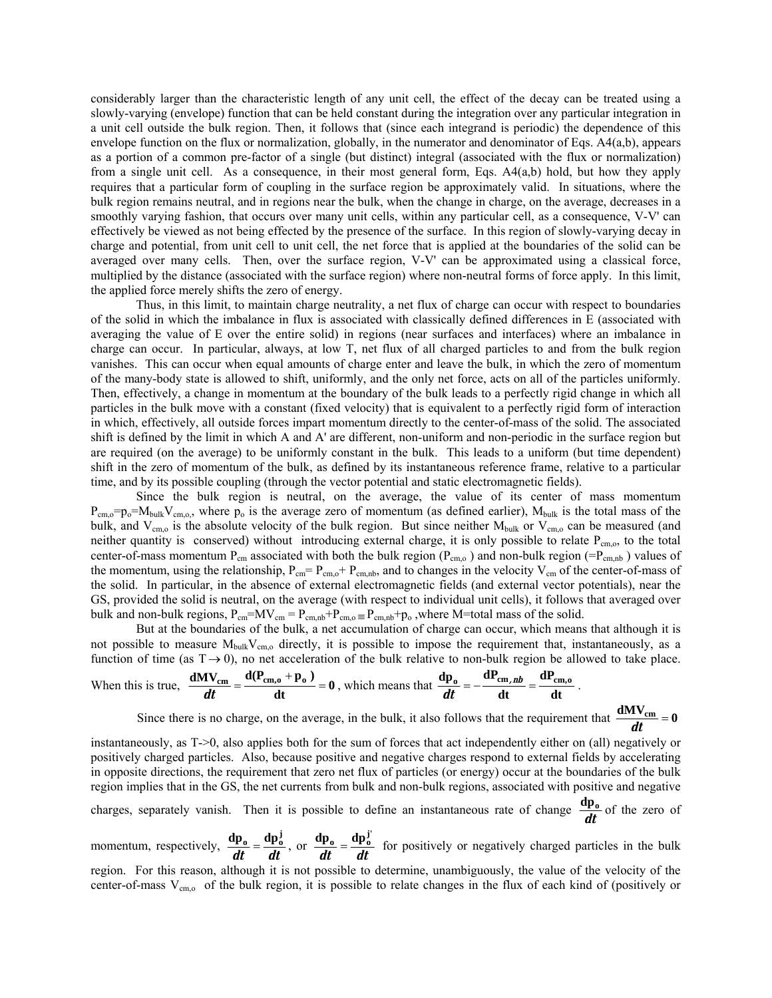considerably larger than the characteristic length of any unit cell, the effect of the decay can be treated using a slowly-varying (envelope) function that can be held constant during the integration over any particular integration in a unit cell outside the bulk region. Then, it follows that (since each integrand is periodic) the dependence of this envelope function on the flux or normalization, globally, in the numerator and denominator of Eqs. A4(a,b), appears as a portion of a common pre-factor of a single (but distinct) integral (associated with the flux or normalization) from a single unit cell. As a consequence, in their most general form, Eqs. A4(a,b) hold, but how they apply requires that a particular form of coupling in the surface region be approximately valid. In situations, where the bulk region remains neutral, and in regions near the bulk, when the change in charge, on the average, decreases in a smoothly varying fashion, that occurs over many unit cells, within any particular cell, as a consequence, V-V' can effectively be viewed as not being effected by the presence of the surface. In this region of slowly-varying decay in charge and potential, from unit cell to unit cell, the net force that is applied at the boundaries of the solid can be averaged over many cells. Then, over the surface region, V-V' can be approximated using a classical force, multiplied by the distance (associated with the surface region) where non-neutral forms of force apply. In this limit, the applied force merely shifts the zero of energy.

Thus, in this limit, to maintain charge neutrality, a net flux of charge can occur with respect to boundaries of the solid in which the imbalance in flux is associated with classically defined differences in E (associated with averaging the value of E over the entire solid) in regions (near surfaces and interfaces) where an imbalance in charge can occur. In particular, always, at low T, net flux of all charged particles to and from the bulk region vanishes. This can occur when equal amounts of charge enter and leave the bulk, in which the zero of momentum of the many-body state is allowed to shift, uniformly, and the only net force, acts on all of the particles uniformly. Then, effectively, a change in momentum at the boundary of the bulk leads to a perfectly rigid change in which all particles in the bulk move with a constant (fixed velocity) that is equivalent to a perfectly rigid form of interaction in which, effectively, all outside forces impart momentum directly to the center-of-mass of the solid. The associated shift is defined by the limit in which A and A' are different, non-uniform and non-periodic in the surface region but are required (on the average) to be uniformly constant in the bulk. This leads to a uniform (but time dependent) shift in the zero of momentum of the bulk, as defined by its instantaneous reference frame, relative to a particular time, and by its possible coupling (through the vector potential and static electromagnetic fields).

Since the bulk region is neutral, on the average, the value of its center of mass momentum  $P_{cm,0}=p_0=M_{bulk}V_{cm,0}$ , where  $p_0$  is the average zero of momentum (as defined earlier),  $M_{bulk}$  is the total mass of the bulk, and  $V_{cm,0}$  is the absolute velocity of the bulk region. But since neither  $M_{bulk}$  or  $V_{cm,0}$  can be measured (and neither quantity is conserved) without introducing external charge, it is only possible to relate  $P_{cm,0}$ , to the total center-of-mass momentum  $P_{cm}$  associated with both the bulk region ( $P_{cm,0}$ ) and non-bulk region ( $=P_{cm,nb}$ ) values of the momentum, using the relationship,  $P_{cm} = P_{cm,0} + P_{cm,nb}$ , and to changes in the velocity  $V_{cm}$  of the center-of-mass of the solid. In particular, in the absence of external electromagnetic fields (and external vector potentials), near the GS, provided the solid is neutral, on the average (with respect to individual unit cells), it follows that averaged over bulk and non-bulk regions,  $P_{cm} = MV_{cm} = P_{cm,nb} + P_{cm,o} = P_{cm,nb} + p_o$ , where M=total mass of the solid.

But at the boundaries of the bulk, a net accumulation of charge can occur, which means that although it is not possible to measure  $M_{\text{bulk}}V_{\text{cm},o}$  directly, it is possible to impose the requirement that, instantaneously, as a function of time (as  $T \rightarrow 0$ ), no net acceleration of the bulk relative to non-bulk region be allowed to take place.

When this is true, 
$$
\frac{dMV_{cm}}{dt} = \frac{d(P_{cm,0} + p_0)}{dt} = 0
$$
, which means that  $\frac{dp_0}{dt} = -\frac{dP_{cm,nb}}{dt} = \frac{dP_{cm,0}}{dt}$ .

Since there is no charge, on the average, in the bulk, it also follows that the requirement that  $\frac{dM V_{cm}}{dt} = 0$ 

instantaneously, as T->0, also applies both for the sum of forces that act independently either on (all) negatively or positively charged particles. Also, because positive and negative charges respond to external fields by accelerating in opposite directions, the requirement that zero net flux of particles (or energy) occur at the boundaries of the bulk region implies that in the GS, the net currents from bulk and non-bulk regions, associated with positive and negative charges, separately vanish. Then it is possible to define an instantaneous rate of change  $\frac{dp_0}{dt}$  of the zero of

momentum, respectively,  $\frac{dp_0}{dt} = \frac{dp_0^j}{dt}$ , or  $\frac{dp_0}{dt} = \frac{dp_0^j}{dt}$  for positively or negatively charged particles in the bulk

region. For this reason, although it is not possible to determine, unambiguously, the value of the velocity of the center-of-mass  $V_{cm,0}$  of the bulk region, it is possible to relate changes in the flux of each kind of (positively or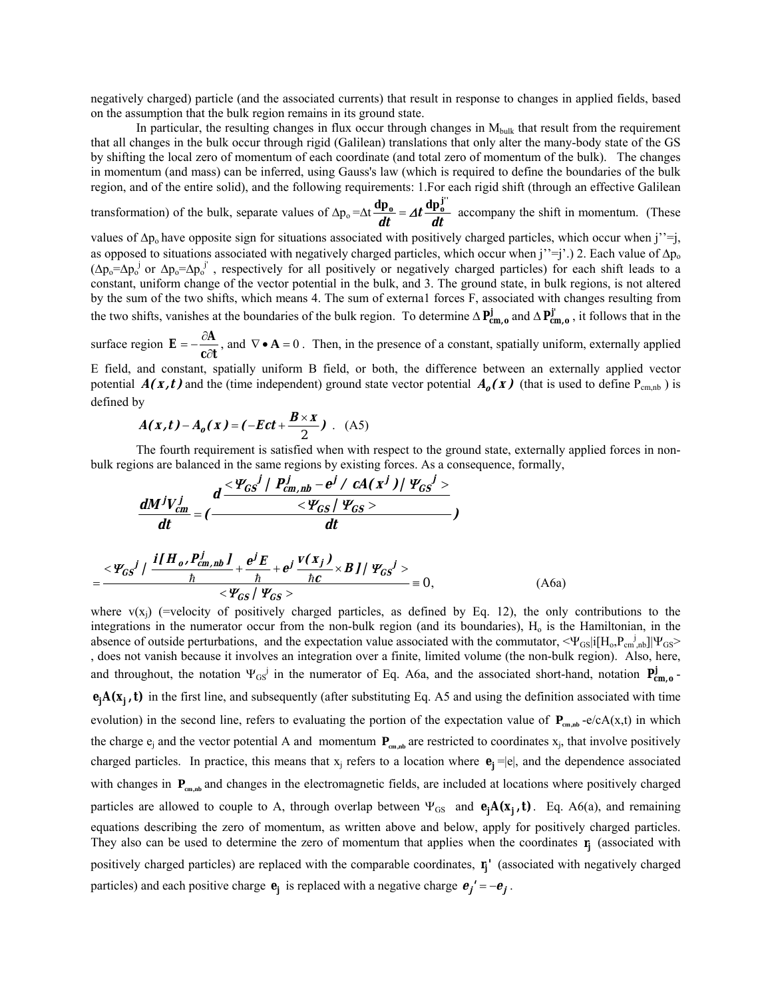negatively charged) particle (and the associated currents) that result in response to changes in applied fields, based on the assumption that the bulk region remains in its ground state.

In particular, the resulting changes in flux occur through changes in M<sub>bulk</sub> that result from the requirement that all changes in the bulk occur through rigid (Galilean) translations that only alter the many-body state of the GS by shifting the local zero of momentum of each coordinate (and total zero of momentum of the bulk). The changes in momentum (and mass) can be inferred, using Gauss's law (which is required to define the boundaries of the bulk region, and of the entire solid), and the following requirements: 1.For each rigid shift (through an effective Galilean

transformation) of the bulk, separate values of  $\Delta p_0 = \Delta t \frac{dp_0}{dt} = A t \frac{dp_0}{dt}$  accompany the shift in momentum. (These

values of  $\Delta p_0$  have opposite sign for situations associated with positively charged particles, which occur when j''=j, as opposed to situations associated with negatively charged particles, which occur when j''=j'.) 2. Each value of  $\Delta p_0$  $(\Delta p_o = \Delta p_o^j$  or  $\Delta p_o = \Delta p_o^j$ , respectively for all positively or negatively charged particles) for each shift leads to a constant, uniform change of the vector potential in the bulk, and 3. The ground state, in bulk regions, is not altered by the sum of the two shifts, which means 4. The sum of externa1 forces F, associated with changes resulting from the two shifts, vanishes at the boundaries of the bulk region. To determine  $\Delta \mathbf{P}_{cm,o}^{j}$  and  $\Delta \mathbf{P}_{cm,o}^{j'}$ , it follows that in the

surface region  $\mathbf{c} \partial \mathbf{t}$ **A**  $\mathbf{E} = -\frac{\partial \mathbf{A}}{\partial \mathbf{c}}$ , and  $\nabla \cdot \mathbf{A} = 0$ . Then, in the presence of a constant, spatially uniform, externally applied potential  $A(x,t)$  and the (time independent) ground state vector potential  $A_0(x)$  (that is used to define P<sub>cm,nb</sub>) is E field, and constant, spatially uniform B field, or both, the difference between an externally applied vector

defined by  

$$
A(x,t) - A_o(x) = (-Ect + \frac{B \times x}{2})
$$
 (A5)

The fourth requirement is satisfied when with respect to the ground state, externally applied forces in nonbulk regions are balanced in the same regions by existing forces. As a consequence, formally,

$$
\frac{dM^{j}V_{cm}^{j}}{dt} = (\frac{d \frac{q \times \psi_{GS}^{j} / P_{cm,ub}^{j} - e^{j} / cA(x^{j}) / \psi_{GS}^{j} >}{\langle \psi_{GS}^{j} \rangle}}{dt})
$$

$$
=\frac{\langle \mathbf{\Psi}_{GS}^{j} \rangle \left(\frac{i[H_{o}, P_{cm, nb}^{j}] }{\hbar} + \frac{e^{j}E}{\hbar} + e^{j} \frac{v(x_{j})}{\hbar c} \times BJ / \Psi_{GS}^{j} \right)}{\langle \Psi_{GS}^{j} \rangle} = 0, \qquad (A6a)
$$

where  $v(x_i)$  (=velocity of positively charged particles, as defined by Eq. 12), the only contributions to the integrations in the numerator occur from the non-bulk region (and its boundaries),  $H_0$  is the Hamiltonian, in the absence of outside perturbations, and the expectation value associated with the commutator,  $\langle \Psi_{GS} | i[H_0, P_{cm, nb}] | \Psi_{GS} \rangle$ , does not vanish because it involves an integration over a finite, limited volume (the non-bulk region). Also, here, and throughout, the notation  $\Psi_{GS}^j$  in the numerator of Eq. A6a, and the associated short-hand, notation  $P_{cm,0}^j$ **e**<sub>**j**</sub>A(**x**<sub>**j**</sub>, **t**) in the first line, and subsequently (after substituting Eq. A5 and using the definition associated with time evolution) in the second line, refers to evaluating the portion of the expectation value of  $P_{cm,ab}$ -e/cA(x,t) in which the charge  $e_j$  and the vector potential A and momentum  $P_{cm,nb}$  are restricted to coordinates  $x_j$ , that involve positively charged particles. In practice, this means that  $x_j$  refers to a location where  $\mathbf{e}_j = |e|$ , and the dependence associated with changes in  $P_{cm,nb}$  and changes in the electromagnetic fields, are included at locations where positively charged particles are allowed to couple to A, through overlap between  $\Psi_{GS}$  and  $\mathbf{e}_j \mathbf{A}(\mathbf{x}_j, \mathbf{t})$ . Eq. A6(a), and remaining positively charged particles) are replaced with the comparable coordinates,  $\mathbf{r}_j$ ' (associated with negatively charged particles) and each positive charge  $\mathbf{e}_j$  is replaced with a negative charge  $\mathbf{e}_j' = -\mathbf{e}_j$ . equations describing the zero of momentum, as written above and below, apply for positively charged particles. They also can be used to determine the zero of momentum that applies when the coordinates  $\mathbf{r}_j$  (associated with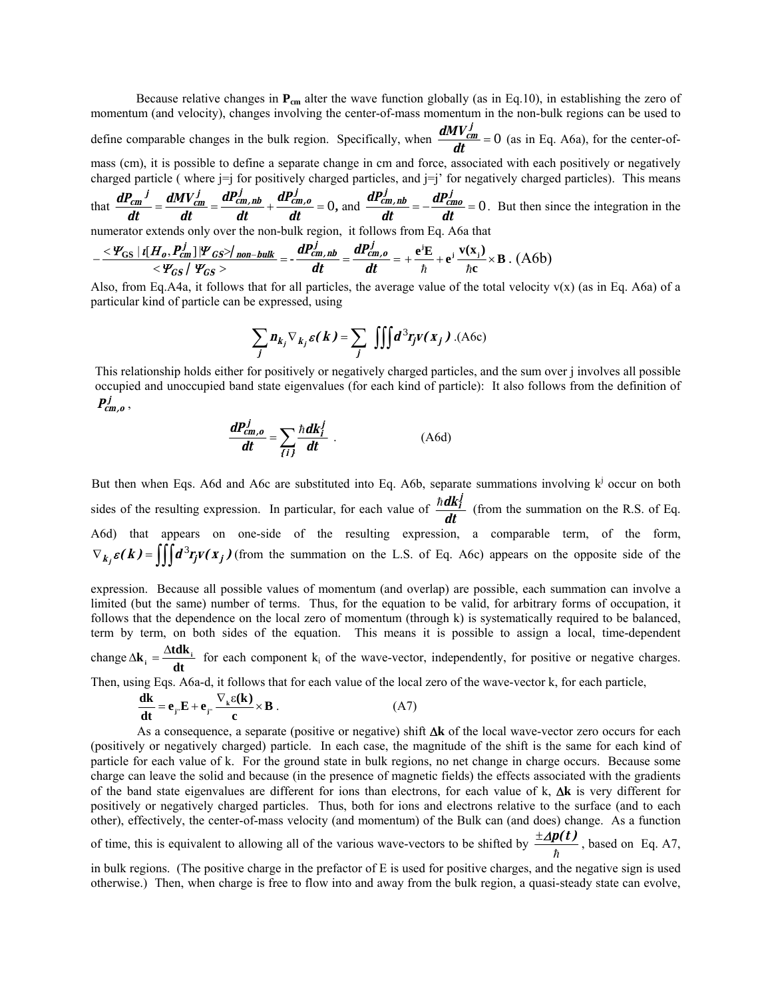Because relative changes in  $P_{cm}$  alter the wave function globally (as in Eq.10), in establishing the zero of momentum (and velocity), changes involving the center-of-mass momentum in the non-bulk regions can be used to define comparable changes in the bulk region. Specifically, when  $\frac{dH V_{cm}}{dt} = 0$  $\frac{dMV_{cm}^{j}}{dt} = 0$  (as in Eq. A6a), for the center-ofmass (cm), it is possible to define a separate change in cm and force, associated with each positively or negatively charged particle ( where  $j = j$  for positively charged particles, and  $j = j'$  for negatively charged particles). This means

that 
$$
\frac{dP_{cm}^{j}}{dt} = \frac{dMV_{cm}^{j}}{dt} = \frac{dP_{cm,ub}^{j}}{dt} + \frac{dP_{cm, o}^{j}}{dt} = 0
$$
, and 
$$
\frac{dP_{cm, ub}^{j}}{dt} = -\frac{dP_{cm, o}^{j}}{dt} = 0
$$
. But then since the integration in the

numerator extends only over the non-bulk region, it follows from Eq. A6a that

$$
-\frac{\langle \varPsi_{\rm GS} | i[H_o, P_{cm}^j] | \varPsi_{\rm GS} \rangle_{\text{non-bulk}}}{\langle \varPsi_{\rm GS} | \varPsi_{\rm GS} \rangle} = -\frac{dP_{cm, nb}^j}{dt} = \frac{dP_{cm, o}^j}{dt} = +\frac{e^i E}{\hbar} + e^j \frac{v(x_j)}{\hbar c} \times B \ . \ (A6b)
$$

Also, from Eq.A4a, it follows that for all particles, the average value of the total velocity  $v(x)$  (as in Eq. A6a) of a particular kind of particle can be expressed, using

$$
\sum_{j} n_{k_j} \nabla_{k_j} \varepsilon(\mathbf{k}) = \sum_{j} \iiint d^3 r_j v(\mathbf{x}_j)
$$
 (A6c)

This relationship holds either for positively or negatively charged particles, and the sum over j involves all possible occupied and unoccupied band state eigenvalues (for each kind of particle): It also follows from the definition of  $P_{cm, o}^{j}$ 

$$
\frac{dP_{cm,o}^j}{dt} = \sum_{i \neq j} \frac{\hbar dk_i^j}{dt} \tag{A6d}
$$

But then when Eqs. A6d and A6c are substituted into Eq. A6b, separate summations involving  $k^j$  occur on both sides of the resulting expression. In particular, for each value of  $\frac{\hbar d k_f^j}{dt}$  (from the summation on the R.S. of Eq. A6d) that appears on one-side of the resulting expression, a comparable term, of the form,  $\nabla$ **<sub><b>k**<sub>i</sub> $\epsilon$ (**k**) =  $\iiint d^3 r_j v(x_j)$  (from the summation on the L.S. of Eq. A6c) appears on the opposite side of the</sub>

expression. Because all possible values of momentum (and overlap) are possible, each summation can involve a limited (but the same) number of terms. Thus, for the equation to be valid, for arbitrary forms of occupation, it follows that the dependence on the local zero of momentum (through k) is systematically required to be balanced, term by term, on both sides of the equation. This means it is possible to assign a local, time-dependent change  $\Delta$ **k**  $_{i}$  =  $\frac{\Delta$ **tdk**  $_{i}}{\Delta t}$  for each component k<sub>i</sub> of the wave-vector, independently, for positive or negative charges.

Then, using Eqs. A6a-d, it follows that for each value of the local zero of the wave-vector k, for each particle,

$$
\frac{dk}{dt} = e_{j}E + e_{j} \frac{\nabla_{k}\varepsilon(k)}{c} \times B .
$$
 (A7)

As a consequence, a separate (positive or negative) shift ∆**k** of the local wave-vector zero occurs for each (positively or negatively charged) particle. In each case, the magnitude of the shift is the same for each kind of particle for each value of k. For the ground state in bulk regions, no net change in charge occurs. Because some charge can leave the solid and because (in the presence of magnetic fields) the effects associated with the gradients of the band state eigenvalues are different for ions than electrons, for each value of k, ∆**k** is very different for positively or negatively charged particles. Thus, both for ions and electrons relative to the surface (and to each other), effectively, the center-of-mass velocity (and momentum) of the Bulk can (and does) change. As a function of time, this is equivalent to allowing all of the various wave-vectors to be shifted by  $\frac{\pm \Delta p(t)}{\hbar}$ , based on Eq. A7,

in bulk regions. (The positive charge in the prefactor of E is used for positive charges, and the negative sign is used otherwise.) Then, when charge is free to flow into and away from the bulk region, a quasi-steady state can evolve,